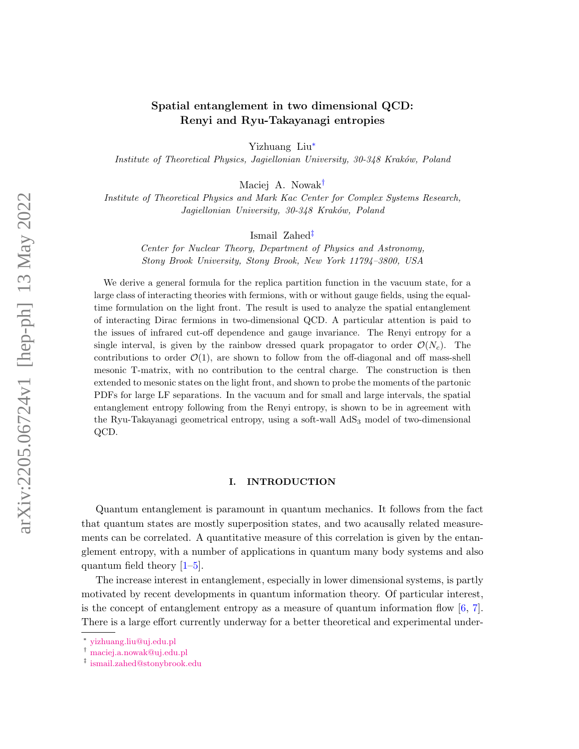# Spatial entanglement in two dimensional QCD: Renyi and Ryu-Takayanagi entropies

Yizhuang Liu[∗](#page-0-0)

Institute of Theoretical Physics, Jagiellonian University, 30-348 Kraków, Poland

Maciej A. Nowak[†](#page-0-1)

Institute of Theoretical Physics and Mark Kac Center for Complex Systems Research, Jagiellonian University, 30-348 Kraków, Poland

Ismail Zahed[‡](#page-0-2)

Center for Nuclear Theory, Department of Physics and Astronomy, Stony Brook University, Stony Brook, New York 11794–3800, USA

We derive a general formula for the replica partition function in the vacuum state, for a large class of interacting theories with fermions, with or without gauge fields, using the equaltime formulation on the light front. The result is used to analyze the spatial entanglement of interacting Dirac fermions in two-dimensional QCD. A particular attention is paid to the issues of infrared cut-off dependence and gauge invariance. The Renyi entropy for a single interval, is given by the rainbow dressed quark propagator to order  $\mathcal{O}(N_c)$ . The contributions to order  $\mathcal{O}(1)$ , are shown to follow from the off-diagonal and off mass-shell mesonic T-matrix, with no contribution to the central charge. The construction is then extended to mesonic states on the light front, and shown to probe the moments of the partonic PDFs for large LF separations. In the vacuum and for small and large intervals, the spatial entanglement entropy following from the Renyi entropy, is shown to be in agreement with the Ryu-Takayanagi geometrical entropy, using a soft-wall AdS<sup>3</sup> model of two-dimensional QCD.

### I. INTRODUCTION

Quantum entanglement is paramount in quantum mechanics. It follows from the fact that quantum states are mostly superposition states, and two acausally related measurements can be correlated. A quantitative measure of this correlation is given by the entanglement entropy, with a number of applications in quantum many body systems and also quantum field theory [\[1–](#page-25-0)[5\]](#page-26-0).

The increase interest in entanglement, especially in lower dimensional systems, is partly motivated by recent developments in quantum information theory. Of particular interest, is the concept of entanglement entropy as a measure of quantum information flow  $[6, 7]$  $[6, 7]$  $[6, 7]$ . There is a large effort currently underway for a better theoretical and experimental under-

<span id="page-0-0"></span><sup>∗</sup> [yizhuang.liu@uj.edu.pl](mailto:yizhuang.liu@uj.edu.pl)

<span id="page-0-1"></span><sup>†</sup> [maciej.a.nowak@uj.edu.pl](mailto:maciej.a.nowak@uj.edu.pl)

<span id="page-0-2"></span><sup>‡</sup> [ismail.zahed@stonybrook.edu](mailto:ismail.zahed@stonybrook.edu)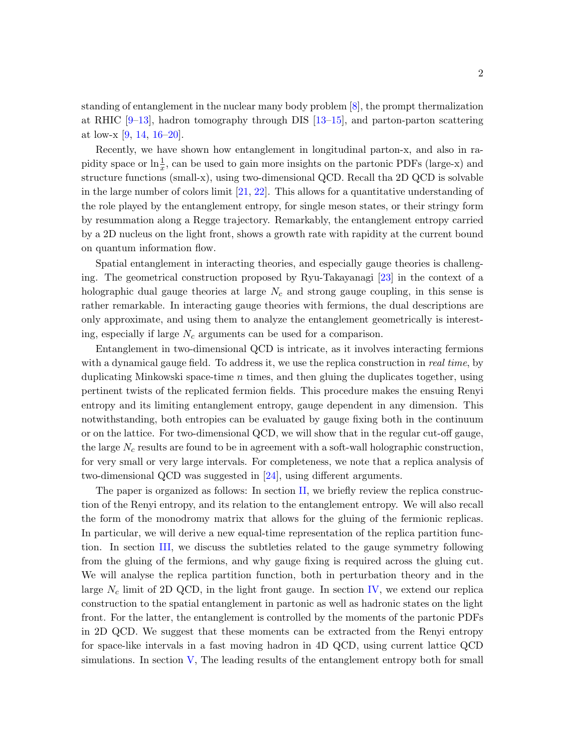standing of entanglement in the nuclear many body problem [\[8\]](#page-26-3), the prompt thermalization at RHIC [\[9](#page-26-4)[–13\]](#page-26-5), hadron tomography through DIS [\[13](#page-26-5)[–15\]](#page-26-6), and parton-parton scattering at low-x [\[9,](#page-26-4) [14,](#page-26-7) [16–](#page-26-8)[20\]](#page-27-0).

Recently, we have shown how entanglement in longitudinal parton-x, and also in rapidity space or  $\ln \frac{1}{x}$ , can be used to gain more insights on the partonic PDFs (large-x) and structure functions (small-x), using two-dimensional QCD. Recall tha 2D QCD is solvable in the large number of colors limit [\[21,](#page-27-1) [22\]](#page-27-2). This allows for a quantitative understanding of the role played by the entanglement entropy, for single meson states, or their stringy form by resummation along a Regge trajectory. Remarkably, the entanglement entropy carried by a 2D nucleus on the light front, shows a growth rate with rapidity at the current bound on quantum information flow.

Spatial entanglement in interacting theories, and especially gauge theories is challenging. The geometrical construction proposed by Ryu-Takayanagi [\[23\]](#page-27-3) in the context of a holographic dual gauge theories at large  $N_c$  and strong gauge coupling, in this sense is rather remarkable. In interacting gauge theories with fermions, the dual descriptions are only approximate, and using them to analyze the entanglement geometrically is interesting, especially if large  $N_c$  arguments can be used for a comparison.

Entanglement in two-dimensional QCD is intricate, as it involves interacting fermions with a dynamical gauge field. To address it, we use the replica construction in real time, by duplicating Minkowski space-time  $n$  times, and then gluing the duplicates together, using pertinent twists of the replicated fermion fields. This procedure makes the ensuing Renyi entropy and its limiting entanglement entropy, gauge dependent in any dimension. This notwithstanding, both entropies can be evaluated by gauge fixing both in the continuum or on the lattice. For two-dimensional QCD, we will show that in the regular cut-off gauge, the large  $N_c$  results are found to be in agreement with a soft-wall holographic construction, for very small or very large intervals. For completeness, we note that a replica analysis of two-dimensional QCD was suggested in [\[24\]](#page-27-4), using different arguments.

The paper is organized as follows: In section [II,](#page-2-0) we briefly review the replica construction of the Renyi entropy, and its relation to the entanglement entropy. We will also recall the form of the monodromy matrix that allows for the gluing of the fermionic replicas. In particular, we will derive a new equal-time representation of the replica partition function. In section [III,](#page-7-0) we discuss the subtleties related to the gauge symmetry following from the gluing of the fermions, and why gauge fixing is required across the gluing cut. We will analyse the replica partition function, both in perturbation theory and in the large  $N_c$  limit of 2D QCD, in the light front gauge. In section [IV,](#page-16-0) we extend our replica construction to the spatial entanglement in partonic as well as hadronic states on the light front. For the latter, the entanglement is controlled by the moments of the partonic PDFs in 2D QCD. We suggest that these moments can be extracted from the Renyi entropy for space-like intervals in a fast moving hadron in 4D QCD, using current lattice QCD simulations. In section [V,](#page-20-0) The leading results of the entanglement entropy both for small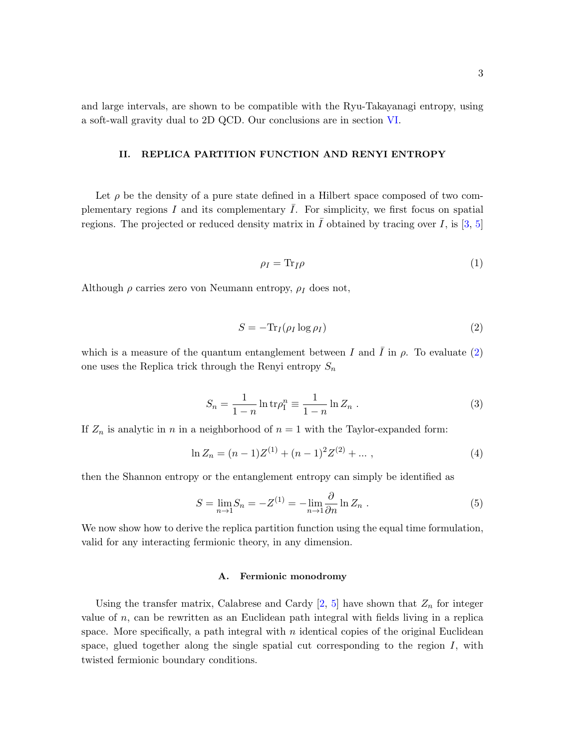and large intervals, are shown to be compatible with the Ryu-Takayanagi entropy, using a soft-wall gravity dual to 2D QCD. Our conclusions are in section [VI.](#page-23-0)

### <span id="page-2-0"></span>II. REPLICA PARTITION FUNCTION AND RENYI ENTROPY

Let  $\rho$  be the density of a pure state defined in a Hilbert space composed of two complementary regions I and its complementary  $\overline{I}$ . For simplicity, we first focus on spatial regions. The projected or reduced density matrix in  $\overline{I}$  obtained by tracing over  $I$ , is [\[3,](#page-26-9) [5\]](#page-26-0)

$$
\rho_I = \text{Tr}_{\bar{I}} \rho \tag{1}
$$

Although  $\rho$  carries zero von Neumann entropy,  $\rho_I$  does not,

<span id="page-2-2"></span><span id="page-2-1"></span>
$$
S = -\text{Tr}_I(\rho_I \log \rho_I) \tag{2}
$$

which is a measure of the quantum entanglement between I and I in  $\rho$ . To evaluate [\(2\)](#page-2-1) one uses the Replica trick through the Renyi entropy  $S_n$ 

$$
S_n = \frac{1}{1 - n} \ln \text{tr} \rho_1^n \equiv \frac{1}{1 - n} \ln Z_n \,. \tag{3}
$$

If  $Z_n$  is analytic in n in a neighborhood of  $n = 1$  with the Taylor-expanded form:

$$
\ln Z_n = (n-1)Z^{(1)} + (n-1)^2 Z^{(2)} + \dots \,, \tag{4}
$$

then the Shannon entropy or the entanglement entropy can simply be identified as

$$
S = \lim_{n \to 1} S_n = -Z^{(1)} = -\lim_{n \to 1} \frac{\partial}{\partial n} \ln Z_n . \tag{5}
$$

We now show how to derive the replica partition function using the equal time formulation, valid for any interacting fermionic theory, in any dimension.

#### A. Fermionic monodromy

Using the transfer matrix, Calabrese and Cardy  $[2, 5]$  $[2, 5]$  $[2, 5]$  have shown that  $Z_n$  for integer value of  $n$ , can be rewritten as an Euclidean path integral with fields living in a replica space. More specifically, a path integral with  $n$  identical copies of the original Euclidean space, glued together along the single spatial cut corresponding to the region  $I$ , with twisted fermionic boundary conditions.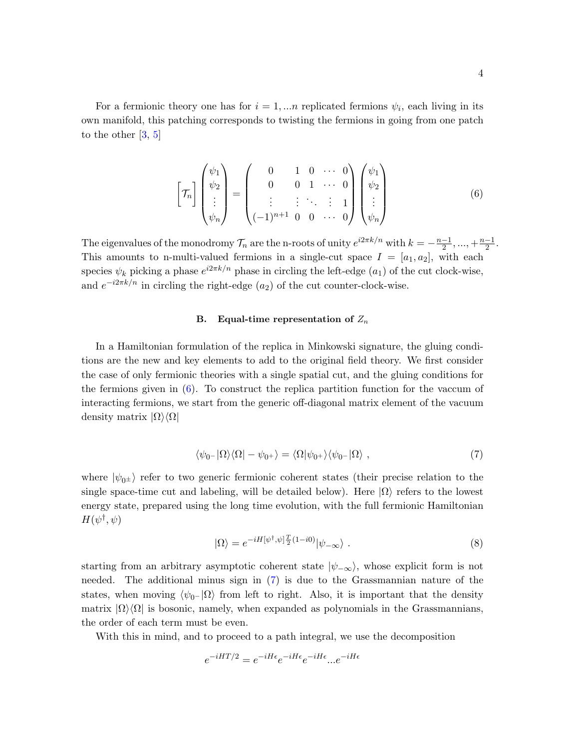For a fermionic theory one has for  $i = 1,...n$  replicated fermions  $\psi_i$ , each living in its own manifold, this patching corresponds to twisting the fermions in going from one patch to the other  $[3, 5]$  $[3, 5]$  $[3, 5]$ 

<span id="page-3-0"></span>
$$
\begin{bmatrix} \mathcal{T}_n \end{bmatrix} \begin{pmatrix} \psi_1 \\ \psi_2 \\ \vdots \\ \psi_n \end{pmatrix} = \begin{pmatrix} 0 & 1 & 0 & \cdots & 0 \\ 0 & 0 & 1 & \cdots & 0 \\ \vdots & \vdots & \ddots & \vdots & 1 \\ (-1)^{n+1} & 0 & 0 & \cdots & 0 \end{pmatrix} \begin{pmatrix} \psi_1 \\ \psi_2 \\ \vdots \\ \psi_n \end{pmatrix}
$$
(6)

The eigenvalues of the monodromy  $\mathcal{T}_n$  are the n-roots of unity  $e^{i2\pi k/n}$  with  $k = -\frac{n-1}{2}$  $\frac{-1}{2}, \ldots, +\frac{n-1}{2}$  $\frac{-1}{2}$ . This amounts to n-multi-valued fermions in a single-cut space  $I = [a_1, a_2]$ , with each species  $\psi_k$  picking a phase  $e^{i2\pi k/n}$  phase in circling the left-edge  $(a_1)$  of the cut clock-wise, and  $e^{-i2\pi k/n}$  in circling the right-edge  $(a_2)$  of the cut counter-clock-wise.

#### B. Equal-time representation of  $Z_n$

In a Hamiltonian formulation of the replica in Minkowski signature, the gluing conditions are the new and key elements to add to the original field theory. We first consider the case of only fermionic theories with a single spatial cut, and the gluing conditions for the fermions given in  $(6)$ . To construct the replica partition function for the vaccum of interacting fermions, we start from the generic off-diagonal matrix element of the vacuum density matrix  $|\Omega\rangle\langle\Omega|$ 

$$
\langle \psi_0 - |\Omega \rangle \langle \Omega| - \psi_0 + \rangle = \langle \Omega | \psi_0 + \rangle \langle \psi_0 - |\Omega \rangle \;, \tag{7}
$$

where  $|\psi_{0\pm}\rangle$  refer to two generic fermionic coherent states (their precise relation to the single space-time cut and labeling, will be detailed below). Here  $|\Omega\rangle$  refers to the lowest energy state, prepared using the long time evolution, with the full fermionic Hamiltonian  $H(\psi^\dagger,\psi)$ 

<span id="page-3-1"></span>
$$
|\Omega\rangle = e^{-iH[\psi^\dagger,\psi]\frac{T}{2}(1-i0)}|\psi_{-\infty}\rangle . \tag{8}
$$

starting from an arbitrary asymptotic coherent state  $|\psi_{-\infty}\rangle$ , whose explicit form is not needed. The additional minus sign in [\(7\)](#page-3-1) is due to the Grassmannian nature of the states, when moving  $\langle \psi_0 - \vert \Omega \rangle$  from left to right. Also, it is important that the density matrix  $|\Omega\rangle\langle\Omega|$  is bosonic, namely, when expanded as polynomials in the Grassmannians, the order of each term must be even.

With this in mind, and to proceed to a path integral, we use the decomposition

$$
e^{-iHT/2} = e^{-iH\epsilon}e^{-iH\epsilon}e^{-iH\epsilon}...e^{-iH\epsilon}
$$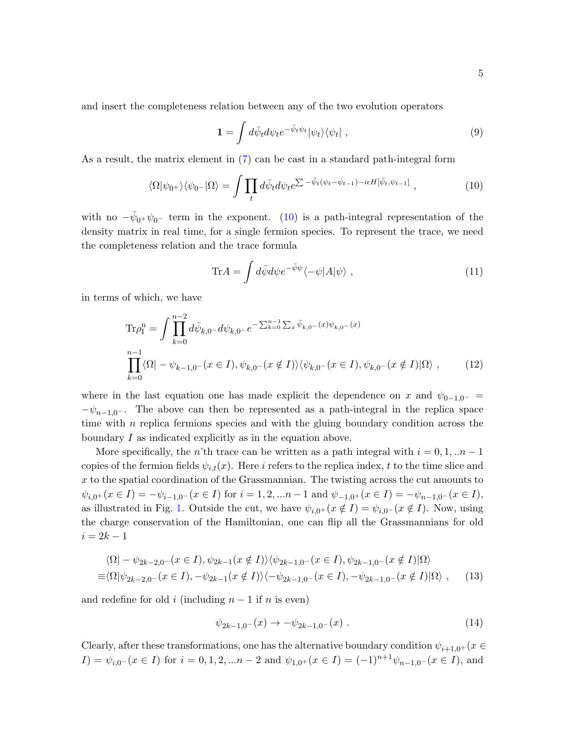and insert the completeness relation between any of the two evolution operators

<span id="page-4-0"></span>
$$
\mathbf{1} = \int d\bar{\psi}_t d\psi_t e^{-\bar{\psi}_t \psi_t} |\psi_t\rangle \langle \psi_t| \tag{9}
$$

As a result, the matrix element in [\(7\)](#page-3-1) can be cast in a standard path-integral form

$$
\langle \Omega | \psi_{0+} \rangle \langle \psi_{0-} | \Omega \rangle = \int \prod_t d\bar{\psi}_t d\psi_t e^{\sum -\bar{\psi}_t (\psi_t - \psi_{t-1}) - i\epsilon H [\bar{\psi}_t, \psi_{t-1}]} \;, \tag{10}
$$

with no  $-\bar{\psi}_{0}+\psi_{0}$ - term in the exponent. [\(10\)](#page-4-0) is a path-integral representation of the density matrix in real time, for a single fermion species. To represent the trace, we need the completeness relation and the trace formula

$$
\text{Tr}A = \int d\bar{\psi}d\psi e^{-\bar{\psi}\psi}\langle -\psi|A|\psi\rangle \;, \tag{11}
$$

in terms of which, we have

$$
\text{Tr}\rho_{\mathbf{I}}^{\mathbf{n}} = \int \prod_{k=0}^{n-2} d\bar{\psi}_{k,0} - d\psi_{k,0} - e^{-\sum_{k=0}^{n-1} \sum_{x} \bar{\psi}_{k,0} - (x)\psi_{k,0} - (x)}
$$
\n
$$
\prod_{k=0}^{n-1} \langle \Omega | - \psi_{k-1,0} - (x \in I), \psi_{k,0} - (x \notin I) \rangle \langle \psi_{k,0} - (x \in I), \psi_{k,0} - (x \notin I) | \Omega \rangle , \qquad (12)
$$

where in the last equation one has made explicit the dependence on x and  $\psi_{0-1,0^-}$  $-\psi_{n-1,0}$ . The above can then be represented as a path-integral in the replica space time with  $n$  replica fermions species and with the gluing boundary condition across the boundary I as indicated explicitly as in the equation above.

More specifically, the n'th trace can be written as a path integral with  $i = 0, 1, ...n - 1$ copies of the fermion fields  $\psi_{i,t}(x)$ . Here i refers to the replica index, t to the time slice and x to the spatial coordination of the Grassmannian. The twisting across the cut amounts to  $\psi_{i,0^+}(x \in I) = -\psi_{i-1,0^-}(x \in I)$  for  $i = 1,2,...n-1$  and  $\psi_{-1,0^+}(x \in I) = -\psi_{n-1,0^-}(x \in I)$ , as illustrated in Fig. [1.](#page-5-0) Outside the cut, we have  $\psi_{i,0^+}(x \notin I) = \psi_{i,0^-}(x \notin I)$ . Now, using the charge conservation of the Hamiltonian, one can flip all the Grassmannians for old  $i = 2k - 1$ 

$$
\langle \Omega | - \psi_{2k-2,0^-}(x \in I), \psi_{2k-1}(x \notin I) \rangle \langle \psi_{2k-1,0^-}(x \in I), \psi_{2k-1,0^-}(x \notin I) | \Omega \rangle
$$
  

$$
\equiv \langle \Omega | \psi_{2k-2,0^-}(x \in I), -\psi_{2k-1}(x \notin I) \rangle \langle -\psi_{2k-1,0^-}(x \in I), -\psi_{2k-1,0^-}(x \notin I) | \Omega \rangle , \qquad (13)
$$

and redefine for old i (including  $n-1$  if n is even)

$$
\psi_{2k-1,0^{-}}(x) \to -\psi_{2k-1,0^{-}}(x) . \tag{14}
$$

Clearly, after these transformations, one has the alternative boundary condition  $\psi_{i+1,0^+}(x \in$  $I) = \psi_{i,0^{-}}(x \in I)$  for  $i = 0,1,2,...n-2$  and  $\psi_{1,0^{+}}(x \in I) = (-1)^{n+1}\psi_{n-1,0^{-}}(x \in I)$ , and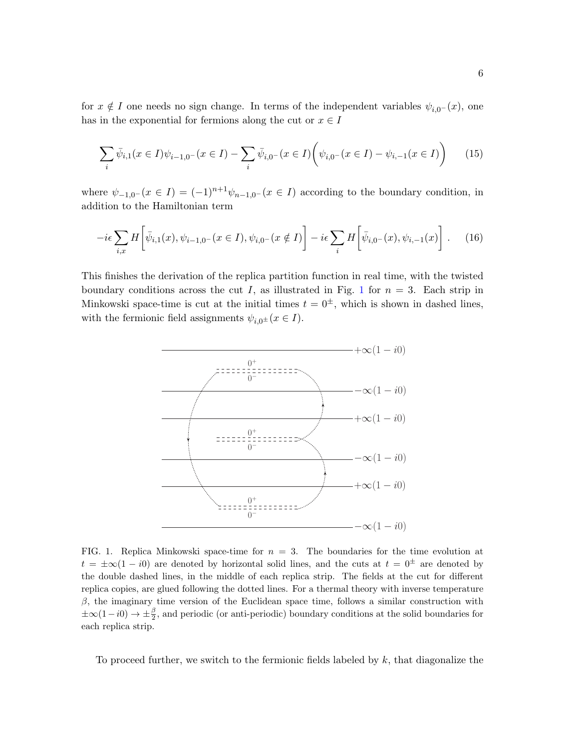for  $x \notin I$  one needs no sign change. In terms of the independent variables  $\psi_{i,0^{-}}(x)$ , one has in the exponential for fermions along the cut or  $x \in I$ 

$$
\sum_{i} \bar{\psi}_{i,1}(x \in I)\psi_{i-1,0^-}(x \in I) - \sum_{i} \bar{\psi}_{i,0^-}(x \in I) \left(\psi_{i,0^-}(x \in I) - \psi_{i,-1}(x \in I)\right) \tag{15}
$$

where  $\psi_{-1,0^-}(x \in I) = (-1)^{n+1}\psi_{n-1,0^-}(x \in I)$  according to the boundary condition, in addition to the Hamiltonian term

$$
-i\epsilon \sum_{i,x} H\left[\bar{\psi}_{i,1}(x), \psi_{i-1,0^-}(x \in I), \psi_{i,0^-}(x \notin I)\right] - i\epsilon \sum_i H\left[\bar{\psi}_{i,0^-}(x), \psi_{i,-1}(x)\right].
$$
 (16)

This finishes the derivation of the replica partition function in real time, with the twisted boundary conditions across the cut I, as illustrated in Fig. [1](#page-5-0) for  $n = 3$ . Each strip in Minkowski space-time is cut at the initial times  $t = 0^{\pm}$ , which is shown in dashed lines, with the fermionic field assignments  $\psi_{i,0} \neq (x \in I)$ .



<span id="page-5-0"></span>FIG. 1. Replica Minkowski space-time for  $n = 3$ . The boundaries for the time evolution at  $t = \pm \infty(1 - i0)$  are denoted by horizontal solid lines, and the cuts at  $t = 0^{\pm}$  are denoted by the double dashed lines, in the middle of each replica strip. The fields at the cut for different replica copies, are glued following the dotted lines. For a thermal theory with inverse temperature  $\beta$ , the imaginary time version of the Euclidean space time, follows a similar construction with  $\pm\infty(1-i0)\to\pm\frac{\beta}{2}$ , and periodic (or anti-periodic) boundary conditions at the solid boundaries for each replica strip.

To proceed further, we switch to the fermionic fields labeled by  $k$ , that diagonalize the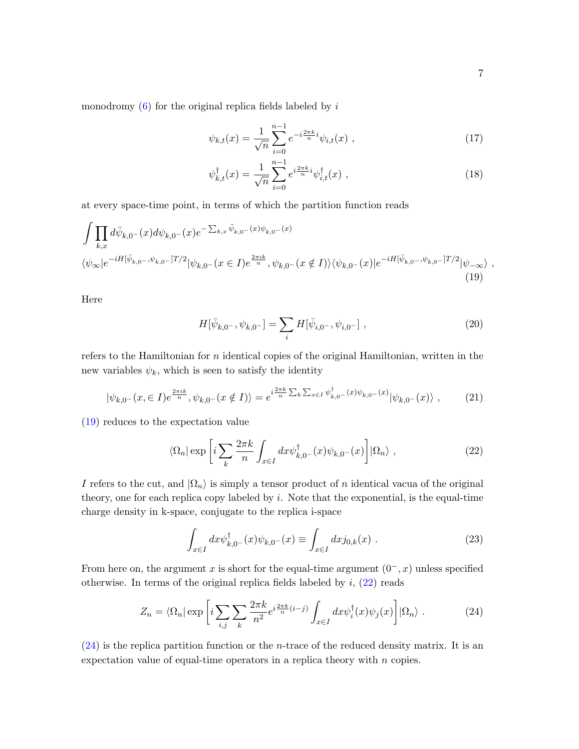$$
\psi_{k,t}(x) = \frac{1}{\sqrt{n}} \sum_{i=0}^{n-1} e^{-i\frac{2\pi k}{n}i} \psi_{i,t}(x) , \qquad (17)
$$

$$
\psi_{k,t}^{\dagger}(x) = \frac{1}{\sqrt{n}} \sum_{i=0}^{n-1} e^{i\frac{2\pi k}{n}i} \psi_{i,t}^{\dagger}(x) , \qquad (18)
$$

at every space-time point, in terms of which the partition function reads

$$
\int \prod_{k,x} d\bar{\psi}_{k,0-}(x) d\psi_{k,0-}(x) e^{-\sum_{k,x} \bar{\psi}_{k,0-}(x)\psi_{k,0-}(x)}
$$
\n
$$
\langle \psi_{\infty}|e^{-iH[\bar{\psi}_{k,0-},\psi_{k,0-}]T/2} |\psi_{k,0-}(x \in I)e^{\frac{2\pi i k}{n}},\psi_{k,0-}(x \notin I)\rangle \langle \psi_{k,0-}(x)|e^{-iH[\bar{\psi}_{k,0-},\psi_{k,0-}]T/2} |\psi_{-\infty}\rangle,
$$
\n(19)

Here

<span id="page-6-1"></span><span id="page-6-0"></span>
$$
H[\bar{\psi}_{k,0^-}, \psi_{k,0^-}] = \sum_i H[\bar{\psi}_{i,0^-}, \psi_{i,0^-}], \qquad (20)
$$

refers to the Hamiltonian for n identical copies of the original Hamiltonian, written in the new variables  $\psi_k$ , which is seen to satisfy the identity

$$
|\psi_{k,0^{-}}(x,\in I)e^{\frac{2\pi ik}{n}},\psi_{k,0^{-}}(x\notin I)\rangle = e^{i\frac{2\pi k}{n}\sum_{k}\sum_{x\in I}\psi_{k,0^{-}}^{\dagger}(x)\psi_{k,0^{-}}(x)}|\psi_{k,0^{-}}(x)\rangle ,\qquad(21)
$$

[\(19\)](#page-6-0) reduces to the expectation value

$$
\langle \Omega_n | \exp \left[ i \sum_k \frac{2\pi k}{n} \int_{x \in I} dx \psi_{k,0}^\dagger(x) \psi_{k,0}^{\dagger}(x) \right] | \Omega_n \rangle , \qquad (22)
$$

I refers to the cut, and  $|\Omega_n\rangle$  is simply a tensor product of n identical vacua of the original theory, one for each replica copy labeled by  $i$ . Note that the exponential, is the equal-time charge density in k-space, conjugate to the replica i-space

<span id="page-6-2"></span>
$$
\int_{x \in I} dx \psi_{k,0^{-}}^{\dagger}(x) \psi_{k,0^{-}}(x) \equiv \int_{x \in I} dx j_{0,k}(x) .
$$
\n(23)

From here on, the argument x is short for the equal-time argument  $(0^-, x)$  unless specified otherwise. In terms of the original replica fields labeled by  $i$ ,  $(22)$  reads

$$
Z_n = \langle \Omega_n | \exp \left[ i \sum_{i,j} \sum_k \frac{2\pi k}{n^2} e^{i \frac{2\pi k}{n} (i-j)} \int_{x \in I} dx \psi_i^{\dagger}(x) \psi_j(x) \right] | \Omega_n \rangle . \tag{24}
$$

 $(24)$  is the replica partition function or the *n*-trace of the reduced density matrix. It is an expectation value of equal-time operators in a replica theory with  $n$  copies.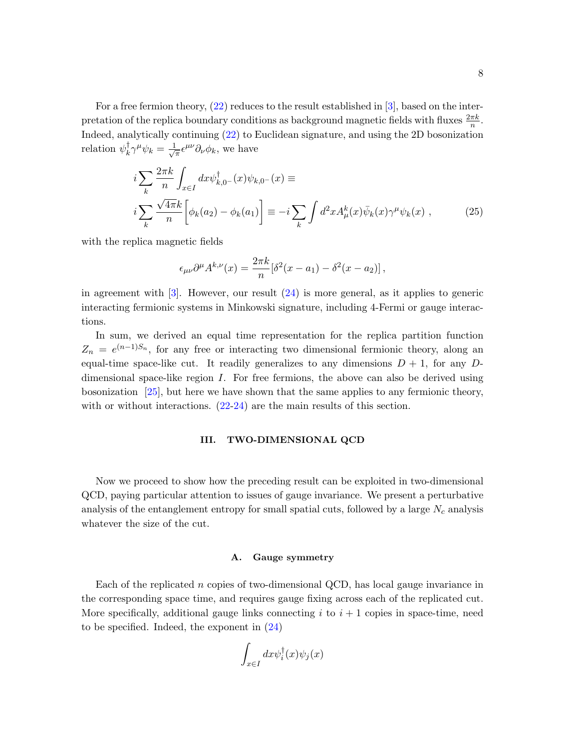For a free fermion theory, [\(22\)](#page-6-1) reduces to the result established in [\[3\]](#page-26-9), based on the interpretation of the replica boundary conditions as background magnetic fields with fluxes  $\frac{2\pi k}{n}$ . Indeed, analytically continuing [\(22\)](#page-6-1) to Euclidean signature, and using the 2D bosonization relation  $\psi_k^{\dagger}$  $\frac{1}{k}\gamma^{\mu}\psi_k=\frac{1}{\sqrt{2}}$  $=\epsilon^{\mu\nu}\partial_{\nu}\phi_k$ , we have

$$
i\sum_{k} \frac{2\pi k}{n} \int_{x \in I} dx \psi_{k,0}^{\dagger}(-x) \psi_{k,0}^{\dagger}(-x) \equiv
$$
  
\n
$$
i\sum_{k} \frac{\sqrt{4\pi k}}{n} \left[ \phi_k(a_2) - \phi_k(a_1) \right] \equiv -i \sum_{k} \int d^2 x A_\mu^k(x) \bar{\psi}_k(x) \gamma^\mu \psi_k(x) , \qquad (25)
$$

with the replica magnetic fields

$$
\epsilon_{\mu\nu}\partial^{\mu}A^{k,\nu}(x) = \frac{2\pi k}{n}[\delta^2(x-a_1) - \delta^2(x-a_2)],
$$

in agreement with  $\lceil 3 \rceil$ . However, our result  $(24)$  is more general, as it applies to generic interacting fermionic systems in Minkowski signature, including 4-Fermi or gauge interactions.

In sum, we derived an equal time representation for the replica partition function  $Z_n = e^{(n-1)S_n}$ , for any free or interacting two dimensional fermionic theory, along an equal-time space-like cut. It readily generalizes to any dimensions  $D + 1$ , for any Ddimensional space-like region I. For free fermions, the above can also be derived using bosonization [\[25\]](#page-27-5), but here we have shown that the same applies to any fermionic theory, with or without interactions.  $(22-24)$  $(22-24)$  are the main results of this section.

### <span id="page-7-0"></span>III. TWO-DIMENSIONAL QCD

Now we proceed to show how the preceding result can be exploited in two-dimensional QCD, paying particular attention to issues of gauge invariance. We present a perturbative analysis of the entanglement entropy for small spatial cuts, followed by a large  $N_c$  analysis whatever the size of the cut.

### A. Gauge symmetry

Each of the replicated n copies of two-dimensional QCD, has local gauge invariance in the corresponding space time, and requires gauge fixing across each of the replicated cut. More specifically, additional gauge links connecting  $i$  to  $i + 1$  copies in space-time, need to be specified. Indeed, the exponent in  $(24)$ 

$$
\int_{x \in I} dx \psi_i^{\dagger}(x) \psi_j(x)
$$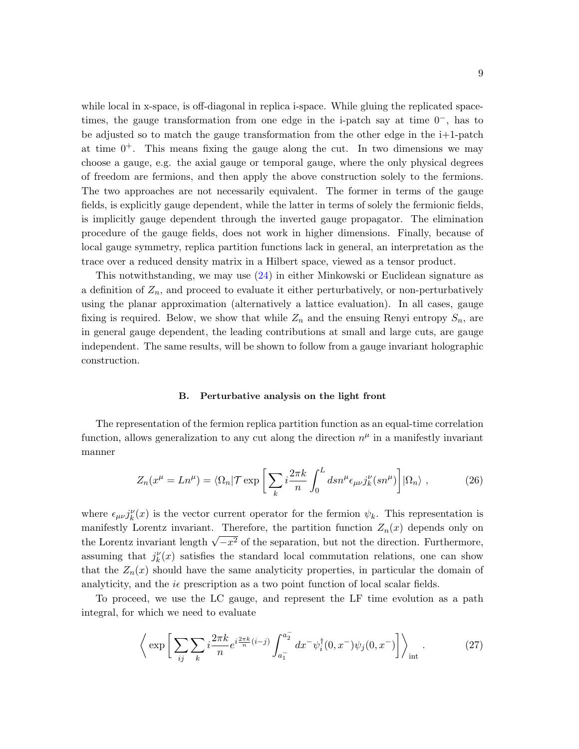while local in x-space, is off-diagonal in replica i-space. While gluing the replicated spacetimes, the gauge transformation from one edge in the i-patch say at time  $0^-$ , has to be adjusted so to match the gauge transformation from the other edge in the i+1-patch at time  $0^+$ . This means fixing the gauge along the cut. In two dimensions we may choose a gauge, e.g. the axial gauge or temporal gauge, where the only physical degrees of freedom are fermions, and then apply the above construction solely to the fermions. The two approaches are not necessarily equivalent. The former in terms of the gauge fields, is explicitly gauge dependent, while the latter in terms of solely the fermionic fields, is implicitly gauge dependent through the inverted gauge propagator. The elimination procedure of the gauge fields, does not work in higher dimensions. Finally, because of local gauge symmetry, replica partition functions lack in general, an interpretation as the trace over a reduced density matrix in a Hilbert space, viewed as a tensor product.

This notwithstanding, we may use [\(24\)](#page-6-2) in either Minkowski or Euclidean signature as a definition of  $Z_n$ , and proceed to evaluate it either perturbatively, or non-perturbatively using the planar approximation (alternatively a lattice evaluation). In all cases, gauge fixing is required. Below, we show that while  $Z_n$  and the ensuing Renyi entropy  $S_n$ , are in general gauge dependent, the leading contributions at small and large cuts, are gauge independent. The same results, will be shown to follow from a gauge invariant holographic construction.

#### B. Perturbative analysis on the light front

The representation of the fermion replica partition function as an equal-time correlation function, allows generalization to any cut along the direction  $n^{\mu}$  in a manifestly invariant manner

$$
Z_n(x^{\mu} = Ln^{\mu}) = \langle \Omega_n | \mathcal{T} \exp\left[\sum_k i \frac{2\pi k}{n} \int_0^L ds n^{\mu} \epsilon_{\mu\nu} j_k^{\nu}(s n^{\mu})\right] |\Omega_n\rangle , \qquad (26)
$$

where  $\epsilon_{\mu\nu} j_k^{\nu}(x)$  is the vector current operator for the fermion  $\psi_k$ . This representation is manifestly Lorentz invariant. Therefore, the partition function  $Z_n(x)$  depends only on the Lorentz invariant length  $\sqrt{-x^2}$  of the separation, but not the direction. Furthermore, assuming that  $j_k^{\nu}(x)$  satisfies the standard local commutation relations, one can show that the  $Z_n(x)$  should have the same analyticity properties, in particular the domain of analyticity, and the  $i\epsilon$  prescription as a two point function of local scalar fields.

To proceed, we use the LC gauge, and represent the LF time evolution as a path integral, for which we need to evaluate

$$
\left\langle \exp \left[ \sum_{ij} \sum_{k} i \frac{2\pi k}{n} e^{i \frac{2\pi k}{n} (i-j)} \int_{a_1^-}^{a_2^-} dx^- \psi_i^{\dagger} (0, x^-) \psi_j (0, x^-) \right] \right\rangle_{\text{int}} . \tag{27}
$$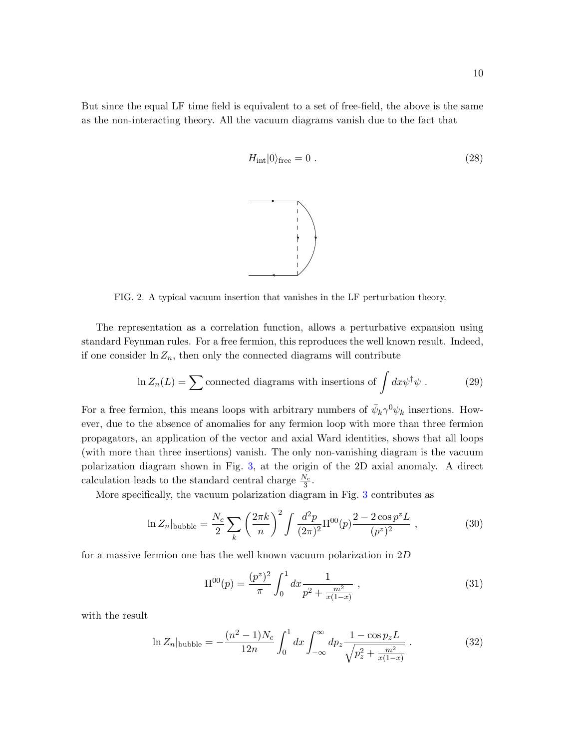But since the equal LF time field is equivalent to a set of free-field, the above is the same as the non-interacting theory. All the vacuum diagrams vanish due to the fact that

$$
H_{\rm int}|0\rangle_{\rm free} = 0. \tag{28}
$$

FIG. 2. A typical vacuum insertion that vanishes in the LF perturbation theory.

The representation as a correlation function, allows a perturbative expansion using standard Feynman rules. For a free fermion, this reproduces the well known result. Indeed, if one consider  $\ln Z_n$ , then only the connected diagrams will contribute

$$
\ln Z_n(L) = \sum \text{connected diagrams with insertions of } \int dx \psi^{\dagger} \psi . \tag{29}
$$

For a free fermion, this means loops with arbitrary numbers of  $\bar{\psi}_k \gamma^0 \psi_k$  insertions. However, due to the absence of anomalies for any fermion loop with more than three fermion propagators, an application of the vector and axial Ward identities, shows that all loops (with more than three insertions) vanish. The only non-vanishing diagram is the vacuum polarization diagram shown in Fig. [3,](#page-10-0) at the origin of the 2D axial anomaly. A direct calculation leads to the standard central charge  $\frac{N_c}{3}$ .

More specifically, the vacuum polarization diagram in Fig. [3](#page-10-0) contributes as

$$
\ln Z_n|_{\text{bubble}} = \frac{N_c}{2} \sum_k \left(\frac{2\pi k}{n}\right)^2 \int \frac{d^2 p}{(2\pi)^2} \Pi^{00}(p) \frac{2 - 2\cos p^2 L}{(p^2)^2} ,\qquad (30)
$$

for a massive fermion one has the well known vacuum polarization in 2D

$$
\Pi^{00}(p) = \frac{(p^z)^2}{\pi} \int_0^1 dx \frac{1}{p^2 + \frac{m^2}{x(1-x)}} ,
$$
\n(31)

with the result

$$
\ln Z_n|_{\text{bubble}} = -\frac{(n^2 - 1)N_c}{12n} \int_0^1 dx \int_{-\infty}^\infty dp_z \frac{1 - \cos p_z L}{\sqrt{p_z^2 + \frac{m^2}{x(1 - x)}}} \,. \tag{32}
$$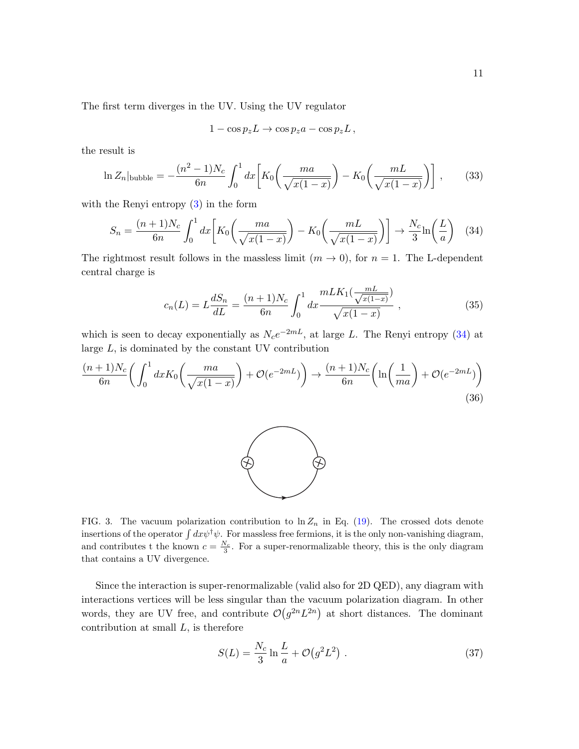The first term diverges in the UV. Using the UV regulator

$$
1 - \cos p_z L \to \cos p_z a - \cos p_z L,
$$

the result is

$$
\ln Z_n|_{\text{bubble}} = -\frac{(n^2 - 1)N_c}{6n} \int_0^1 dx \left[ K_0 \left( \frac{ma}{\sqrt{x(1-x)}} \right) - K_0 \left( \frac{mL}{\sqrt{x(1-x)}} \right) \right],\tag{33}
$$

with the Renyi entropy  $(3)$  in the form

<span id="page-10-1"></span>
$$
S_n = \frac{(n+1)N_c}{6n} \int_0^1 dx \left[ K_0 \left( \frac{ma}{\sqrt{x(1-x)}} \right) - K_0 \left( \frac{mL}{\sqrt{x(1-x)}} \right) \right] \to \frac{N_c}{3} \ln \left( \frac{L}{a} \right) \tag{34}
$$

The rightmost result follows in the massless limit  $(m \to 0)$ , for  $n = 1$ . The L-dependent central charge is

$$
c_n(L) = L\frac{dS_n}{dL} = \frac{(n+1)N_c}{6n} \int_0^1 dx \frac{mLK_1(\frac{mL}{\sqrt{x(1-x)}})}{\sqrt{x(1-x)}},
$$
\n(35)

which is seen to decay exponentially as  $N_c e^{-2mL}$ , at large L. The Renyi entropy [\(34\)](#page-10-1) at large  $L$ , is dominated by the constant UV contribution

<span id="page-10-2"></span>
$$
\frac{(n+1)N_c}{6n} \left( \int_0^1 dx K_0 \left( \frac{ma}{\sqrt{x(1-x)}} \right) + \mathcal{O}(e^{-2mL}) \right) \to \frac{(n+1)N_c}{6n} \left( \ln \left( \frac{1}{ma} \right) + \mathcal{O}(e^{-2mL}) \right)
$$
\n(36)



<span id="page-10-0"></span>FIG. 3. The vacuum polarization contribution to  $\ln Z_n$  in Eq. [\(19\)](#page-6-0). The crossed dots denote insertions of the operator  $\int dx \psi^{\dagger} \psi$ . For massless free fermions, it is the only non-vanishing diagram, and contributes t the known  $c = \frac{N_c}{3}$ . For a super-renormalizable theory, this is the only diagram that contains a UV divergence.

Since the interaction is super-renormalizable (valid also for 2D QED), any diagram with interactions vertices will be less singular than the vacuum polarization diagram. In other words, they are UV free, and contribute  $\mathcal{O}(g^{2n}L^{2n})$  at short distances. The dominant contribution at small  $L$ , is therefore

$$
S(L) = \frac{N_c}{3} \ln \frac{L}{a} + \mathcal{O}(g^2 L^2) \tag{37}
$$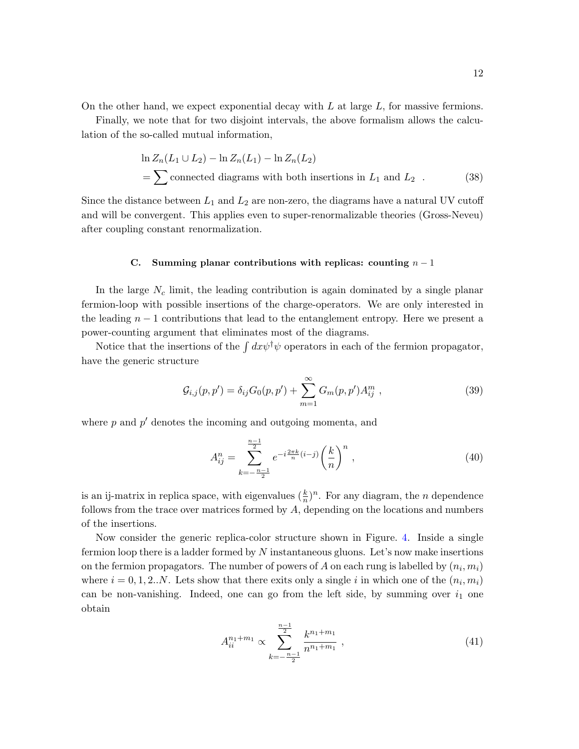On the other hand, we expect exponential decay with  $L$  at large  $L$ , for massive fermions.

Finally, we note that for two disjoint intervals, the above formalism allows the calculation of the so-called mutual information,

$$
\ln Z_n(L_1 \cup L_2) - \ln Z_n(L_1) - \ln Z_n(L_2)
$$
  
=  $\sum$  connected diagrams with both insertions in  $L_1$  and  $L_2$ . (38)

Since the distance between  $L_1$  and  $L_2$  are non-zero, the diagrams have a natural UV cutoff and will be convergent. This applies even to super-renormalizable theories (Gross-Neveu) after coupling constant renormalization.

### C. Summing planar contributions with replicas: counting  $n-1$

In the large  $N_c$  limit, the leading contribution is again dominated by a single planar fermion-loop with possible insertions of the charge-operators. We are only interested in the leading  $n-1$  contributions that lead to the entanglement entropy. Here we present a power-counting argument that eliminates most of the diagrams.

Notice that the insertions of the  $\int dx \psi^{\dagger} \psi$  operators in each of the fermion propagator, have the generic structure

$$
\mathcal{G}_{i,j}(p,p') = \delta_{ij} G_0(p,p') + \sum_{m=1}^{\infty} G_m(p,p') A_{ij}^m , \qquad (39)
$$

where  $p$  and  $p'$  denotes the incoming and outgoing momenta, and

$$
A_{ij}^{n} = \sum_{k=-\frac{n-1}{2}}^{\frac{n-1}{2}} e^{-i\frac{2\pi k}{n}(i-j)} \left(\frac{k}{n}\right)^{n}, \qquad (40)
$$

is an ij-matrix in replica space, with eigenvalues  $(\frac{k}{n})^n$ . For any diagram, the *n* dependence follows from the trace over matrices formed by  $A$ , depending on the locations and numbers of the insertions.

Now consider the generic replica-color structure shown in Figure. [4.](#page-12-0) Inside a single fermion loop there is a ladder formed by  $N$  instantaneous gluons. Let's now make insertions on the fermion propagators. The number of powers of A on each rung is labelled by  $(n_i, m_i)$ where  $i = 0, 1, 2...N$ . Lets show that there exits only a single i in which one of the  $(n_i, m_i)$ can be non-vanishing. Indeed, one can go from the left side, by summing over  $i_1$  one obtain

$$
A_{ii}^{n_1+m_1} \propto \sum_{k=-\frac{n-1}{2}}^{\frac{n-1}{2}} \frac{k^{n_1+m_1}}{n^{n_1+m_1}} , \qquad (41)
$$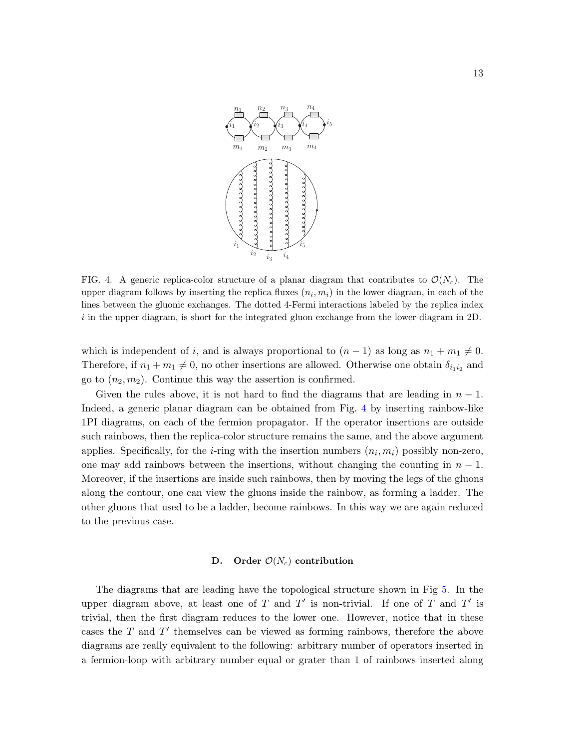

<span id="page-12-0"></span>FIG. 4. A generic replica-color structure of a planar diagram that contributes to  $\mathcal{O}(N_c)$ . The upper diagram follows by inserting the replica fluxes  $(n_i, m_i)$  in the lower diagram, in each of the lines between the gluonic exchanges. The dotted 4-Fermi interactions labeled by the replica index  $i$  in the upper diagram, is short for the integrated gluon exchange from the lower diagram in 2D.

which is independent of i, and is always proportional to  $(n-1)$  as long as  $n_1 + m_1 \neq 0$ . Therefore, if  $n_1 + m_1 \neq 0$ , no other insertions are allowed. Otherwise one obtain  $\delta_{i_1 i_2}$  and go to  $(n_2, m_2)$ . Continue this way the assertion is confirmed.

Given the rules above, it is not hard to find the diagrams that are leading in  $n-1$ . Indeed, a generic planar diagram can be obtained from Fig. [4](#page-12-0) by inserting rainbow-like 1PI diagrams, on each of the fermion propagator. If the operator insertions are outside such rainbows, then the replica-color structure remains the same, and the above argument applies. Specifically, for the *i*-ring with the insertion numbers  $(n_i, m_i)$  possibly non-zero, one may add rainbows between the insertions, without changing the counting in  $n-1$ . Moreover, if the insertions are inside such rainbows, then by moving the legs of the gluons along the contour, one can view the gluons inside the rainbow, as forming a ladder. The other gluons that used to be a ladder, become rainbows. In this way we are again reduced to the previous case.

### D. Order  $\mathcal{O}(N_c)$  contribution

The diagrams that are leading have the topological structure shown in Fig [5.](#page-13-0) In the upper diagram above, at least one of T and T' is non-trivial. If one of T and T' is trivial, then the first diagram reduces to the lower one. However, notice that in these cases the  $T$  and  $T'$  themselves can be viewed as forming rainbows, therefore the above diagrams are really equivalent to the following: arbitrary number of operators inserted in a fermion-loop with arbitrary number equal or grater than 1 of rainbows inserted along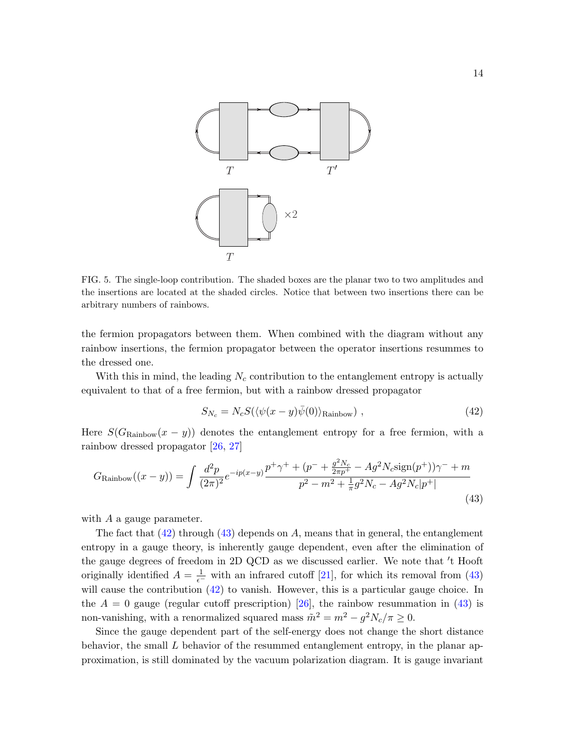

<span id="page-13-0"></span>FIG. 5. The single-loop contribution. The shaded boxes are the planar two to two amplitudes and the insertions are located at the shaded circles. Notice that between two insertions there can be arbitrary numbers of rainbows.

the fermion propagators between them. When combined with the diagram without any rainbow insertions, the fermion propagator between the operator insertions resummes to the dressed one.

With this in mind, the leading  $N_c$  contribution to the entanglement entropy is actually equivalent to that of a free fermion, but with a rainbow dressed propagator

<span id="page-13-1"></span>
$$
S_{N_c} = N_c S(\langle \psi(x - y)\bar{\psi}(0)\rangle_{\text{Rainbow}}), \qquad (42)
$$

Here  $S(G_{\text{Rainbow}}(x - y))$  denotes the entanglement entropy for a free fermion, with a rainbow dressed propagator [\[26,](#page-27-6) [27\]](#page-27-7)

<span id="page-13-2"></span>
$$
G_{\text{Rainbow}}((x - y)) = \int \frac{d^2 p}{(2\pi)^2} e^{-ip(x - y)} \frac{p^+ \gamma^+ + (p^- + \frac{g^2 N_c}{2\pi p^+} - Ag^2 N_c \text{sign}(p^+))\gamma^- + m}{p^2 - m^2 + \frac{1}{\pi}g^2 N_c - Ag^2 N_c|p^+|}
$$
\n(43)

with  $A$  a gauge parameter.

The fact that  $(42)$  through  $(43)$  depends on A, means that in general, the entanglement entropy in a gauge theory, is inherently gauge dependent, even after the elimination of the gauge degrees of freedom in 2D QCD as we discussed earlier. We note that 't Hooft originally identified  $A = \frac{1}{\epsilon^-}$  with an infrared cutoff [\[21\]](#page-27-1), for which its removal from [\(43\)](#page-13-2) will cause the contribution [\(42\)](#page-13-1) to vanish. However, this is a particular gauge choice. In the  $A = 0$  gauge (regular cutoff prescription) [\[26\]](#page-27-6), the rainbow resummation in [\(43\)](#page-13-2) is non-vanishing, with a renormalized squared mass  $\tilde{m}^2 = m^2 - g^2 N_c / \pi \ge 0$ .

Since the gauge dependent part of the self-energy does not change the short distance behavior, the small  $L$  behavior of the resummed entanglement entropy, in the planar approximation, is still dominated by the vacuum polarization diagram. It is gauge invariant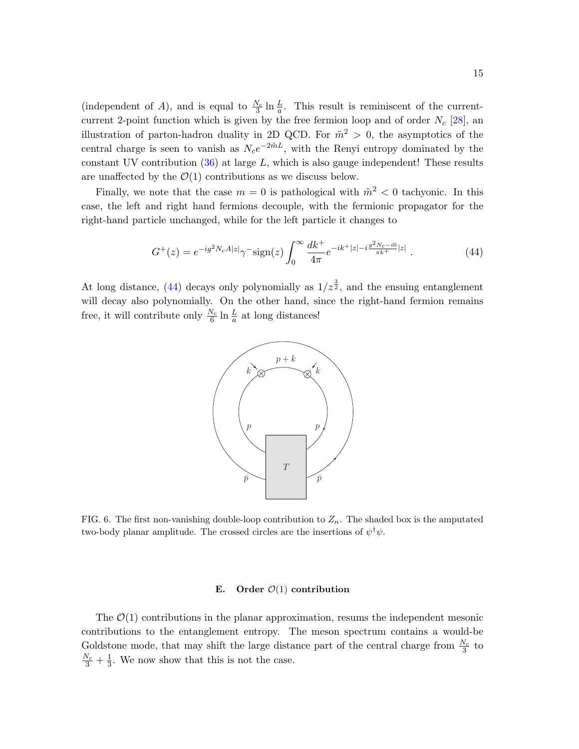(independent of A), and is equal to  $\frac{N_c}{3} \ln \frac{L}{a}$ . This result is reminiscent of the currentcurrent 2-point function which is given by the free fermion loop and of order  $N_c$  [\[28\]](#page-27-8), an illustration of parton-hadron duality in 2D QCD. For  $\tilde{m}^2 > 0$ , the asymptotics of the central charge is seen to vanish as  $N_c e^{-2\tilde{m}L}$ , with the Renyi entropy dominated by the constant UV contribution  $(36)$  at large L, which is also gauge independent! These results are unaffected by the  $\mathcal{O}(1)$  contributions as we discuss below.

Finally, we note that the case  $m = 0$  is pathological with  $\tilde{m}^2 < 0$  tachyonic. In this case, the left and right hand fermions decouple, with the fermionic propagator for the right-hand particle unchanged, while for the left particle it changes to

$$
G^{+}(z) = e^{-ig^{2}N_{c}A|z|}\gamma^{-} \text{sign}(z) \int_{0}^{\infty} \frac{dk^{+}}{4\pi} e^{-ik^{+}|z|-i\frac{g^{2}N_{c}-i0}{\pi k^{+}}|z|} . \tag{44}
$$

At long distance, [\(44\)](#page-14-0) decays only polynomially as  $1/z^{\frac{3}{2}}$ , and the ensuing entanglement will decay also polynomially. On the other hand, since the right-hand fermion remains free, it will contribute only  $\frac{N_c}{6} \ln \frac{L}{a}$  at long distances!

<span id="page-14-0"></span>

<span id="page-14-1"></span>FIG. 6. The first non-vanishing double-loop contribution to  $Z_n$ . The shaded box is the amputated two-body planar amplitude. The crossed circles are the insertions of  $\psi^{\dagger}\psi$ .

#### E. Order  $\mathcal{O}(1)$  contribution

The  $\mathcal{O}(1)$  contributions in the planar approximation, resums the independent mesonic contributions to the entanglement entropy. The meson spectrum contains a would-be Goldstone mode, that may shift the large distance part of the central charge from  $\frac{N_c}{3}$  to  $\frac{N_c}{3} + \frac{1}{3}$  $\frac{1}{3}$ . We now show that this is not the case.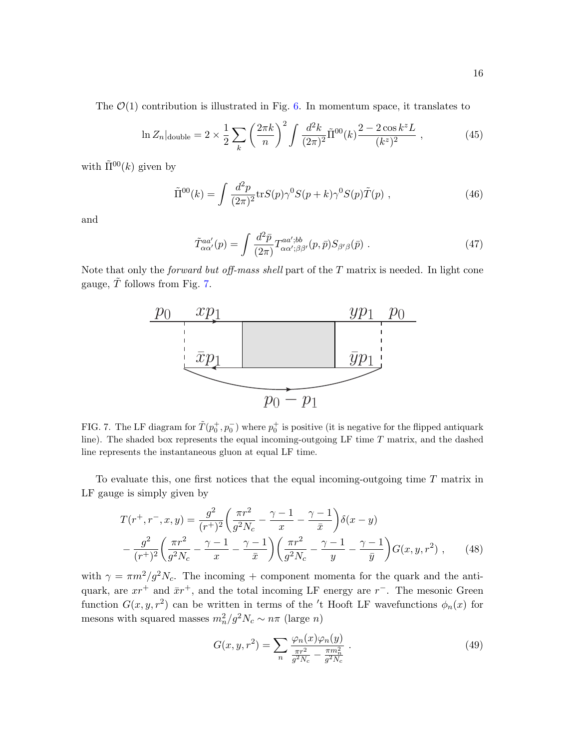The  $\mathcal{O}(1)$  contribution is illustrated in Fig. [6.](#page-14-1) In momentum space, it translates to

$$
\ln Z_n|_{\text{double}} = 2 \times \frac{1}{2} \sum_k \left(\frac{2\pi k}{n}\right)^2 \int \frac{d^2 k}{(2\pi)^2} \tilde{\Pi}^{00}(k) \frac{2 - 2\cos k^2 L}{(k^2)^2} ,\qquad (45)
$$

with  $\tilde{\Pi}^{00}(k)$  given by

$$
\tilde{\Pi}^{00}(k) = \int \frac{d^2p}{(2\pi)^2} \text{tr}S(p)\gamma^0 S(p+k)\gamma^0 S(p)\tilde{T}(p) , \qquad (46)
$$

and

$$
\tilde{T}_{\alpha\alpha'}^{aa'}(p) = \int \frac{d^2 \bar{p}}{(2\pi)} T_{\alpha\alpha';\beta\beta'}^{aa';bb}(p,\bar{p}) S_{\beta'\beta}(\bar{p}) . \tag{47}
$$

Note that only the *forward but off-mass shell* part of the  $T$  matrix is needed. In light cone gauge,  $\tilde{T}$  follows from Fig. [7.](#page-15-0)



<span id="page-15-0"></span>FIG. 7. The LF diagram for  $\tilde{T}(p_0^+, p_0^-)$  where  $p_0^+$  is positive (it is negative for the flipped antiquark line). The shaded box represents the equal incoming-outgoing LF time T matrix, and the dashed line represents the instantaneous gluon at equal LF time.

To evaluate this, one first notices that the equal incoming-outgoing time T matrix in LF gauge is simply given by

$$
T(r^+, r^-, x, y) = \frac{g^2}{(r^+)^2} \left( \frac{\pi r^2}{g^2 N_c} - \frac{\gamma - 1}{x} - \frac{\gamma - 1}{\bar{x}} \right) \delta(x - y)
$$

$$
- \frac{g^2}{(r^+)^2} \left( \frac{\pi r^2}{g^2 N_c} - \frac{\gamma - 1}{x} - \frac{\gamma - 1}{\bar{x}} \right) \left( \frac{\pi r^2}{g^2 N_c} - \frac{\gamma - 1}{y} - \frac{\gamma - 1}{\bar{y}} \right) G(x, y, r^2) , \qquad (48)
$$

with  $\gamma = \pi m^2/g^2 N_c$ . The incoming + component momenta for the quark and the antiquark, are  $xr^+$  and  $\bar{x}r^+$ , and the total incoming LF energy are  $r^-$ . The mesonic Green function  $G(x, y, r^2)$  can be written in terms of the 't Hooft LF wavefunctions  $\phi_n(x)$  for mesons with squared masses  $m_n^2/g^2N_c \sim n\pi$  (large *n*)

$$
G(x, y, r^2) = \sum_{n} \frac{\varphi_n(x)\varphi_n(y)}{\frac{\pi r^2}{g^2 N_c} - \frac{\pi m_n^2}{g^2 N_c}}.
$$
 (49)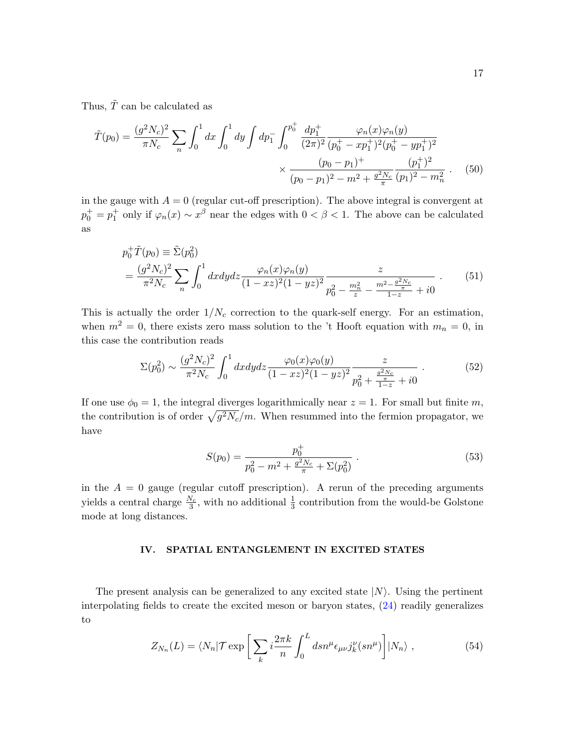Thus,  $\tilde{T}$  can be calculated as

$$
\tilde{T}(p_0) = \frac{(g^2 N_c)^2}{\pi N_c} \sum_n \int_0^1 dx \int_0^1 dy \int dp_1^- \int_0^{p_0^+} \frac{dp_1^+}{(2\pi)^2} \frac{\varphi_n(x)\varphi_n(y)}{(p_0^+ - xp_1^+)^2 (p_0^+ - yp_1^+)^2} \times \frac{(p_0 - p_1)^+}{(p_0 - p_1)^2 - m^2 + \frac{g^2 N_c}{\pi}} \frac{(p_1^+)^2}{(p_1)^2 - m_n^2} . \tag{50}
$$

in the gauge with  $A = 0$  (regular cut-off prescription). The above integral is convergent at  $p_0^+ = p_1^+$  only if  $\varphi_n(x) \sim x^{\beta}$  near the edges with  $0 < \beta < 1$ . The above can be calculated as

$$
p_0^+ \tilde{T}(p_0) \equiv \tilde{\Sigma}(p_0^2)
$$
  
=  $\frac{(g^2 N_c)^2}{\pi^2 N_c} \sum_n \int_0^1 dx dy dz \frac{\varphi_n(x)\varphi_n(y)}{(1 - xz)^2 (1 - yz)^2} \frac{z}{p_0^2 - \frac{m_n^2}{z} - \frac{m^2 - \frac{g^2 N_c}{\pi}}{1 - z}}.$  (51)

This is actually the order  $1/N_c$  correction to the quark-self energy. For an estimation, when  $m^2 = 0$ , there exists zero mass solution to the 't Hooft equation with  $m_n = 0$ , in this case the contribution reads

$$
\Sigma(p_0^2) \sim \frac{(g^2 N_c)^2}{\pi^2 N_c} \int_0^1 dx dy dz \frac{\varphi_0(x)\varphi_0(y)}{(1 - x^2)^2 (1 - y^2)^2} \frac{z}{p_0^2 + \frac{g^2 N_c}{1 - z} + i0} \,. \tag{52}
$$

If one use  $\phi_0 = 1$ , the integral diverges logarithmically near  $z = 1$ . For small but finite m, the contribution is of order  $\sqrt{g^2 N_c}/m$ . When resummed into the fermion propagator, we have

$$
S(p_0) = \frac{p_0^+}{p_0^2 - m^2 + \frac{g^2 N_c}{\pi} + \Sigma(p_0^2)}.
$$
\n(53)

in the  $A = 0$  gauge (regular cutoff prescription). A rerun of the preceding arguments yields a central charge  $\frac{N_c}{3}$ , with no additional  $\frac{1}{3}$  contribution from the would-be Golstone mode at long distances.

#### <span id="page-16-0"></span>IV. SPATIAL ENTANGLEMENT IN EXCITED STATES

The present analysis can be generalized to any excited state  $|N\rangle$ . Using the pertinent interpolating fields to create the excited meson or baryon states, [\(24\)](#page-6-2) readily generalizes to

<span id="page-16-1"></span>
$$
Z_{N_n}(L) = \langle N_n | \mathcal{T} \exp\left[\sum_k i \frac{2\pi k}{n} \int_0^L ds n^\mu \epsilon_{\mu\nu} j_k^\nu (s n^\mu) \right] | N_n \rangle , \qquad (54)
$$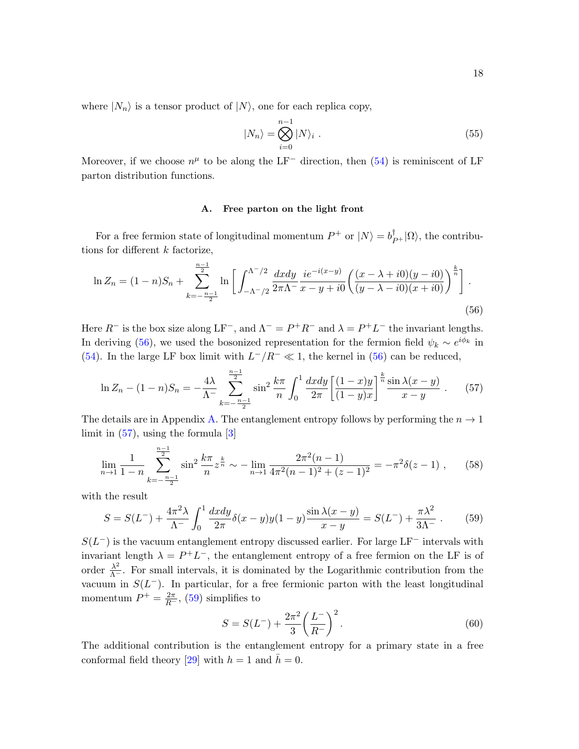where  $|N_n\rangle$  is a tensor product of  $|N\rangle$ , one for each replica copy,

$$
|N_n\rangle = \bigotimes_{i=0}^{n-1} |N\rangle_i . \tag{55}
$$

Moreover, if we choose  $n^{\mu}$  to be along the LF<sup>-</sup> direction, then [\(54\)](#page-16-1) is reminiscent of LF parton distribution functions.

### <span id="page-17-1"></span><span id="page-17-0"></span>A. Free parton on the light front

For a free fermion state of longitudinal momentum  $P^+$  or  $|N\rangle = b_{P^+}^{\dagger}|\Omega\rangle$ , the contributions for different  $k$  factorize,

$$
\ln Z_n = (1 - n)S_n + \sum_{k=-\frac{n-1}{2}}^{\frac{n-1}{2}} \ln \left[ \int_{-\Lambda^-/2}^{\Lambda^-/2} \frac{dxdy}{2\pi\Lambda^-} \frac{i e^{-i(x-y)}}{x - y + i0} \left( \frac{(x - \lambda + i0)(y - i0)}{(y - \lambda - i0)(x + i0)} \right)^{\frac{k}{n}} \right].
$$
\n(56)

Here  $R^-$  is the box size along  $LF^-$ , and  $\Lambda^- = P^+R^-$  and  $\lambda = P^+L^-$  the invariant lengths. In deriving [\(56\)](#page-17-0), we used the bosonized representation for the fermion field  $\psi_k \sim e^{i\phi_k}$  in [\(54\)](#page-16-1). In the large LF box limit with  $L^-/R^- \ll 1$ , the kernel in [\(56\)](#page-17-0) can be reduced,

$$
\ln Z_n - (1 - n)S_n = -\frac{4\lambda}{\Lambda} \sum_{k=-\frac{n-1}{2}}^{\frac{n-1}{2}} \sin^2 \frac{k\pi}{n} \int_0^1 \frac{dxdy}{2\pi} \left[ \frac{(1-x)y}{(1-y)x} \right]^{\frac{k}{n}} \frac{\sin \lambda (x-y)}{x-y} . \tag{57}
$$

The details are in Appendix [A.](#page-24-0) The entanglement entropy follows by performing the  $n \to 1$ limit in  $(57)$ , using the formula  $[3]$ 

$$
\lim_{n \to 1} \frac{1}{1 - n} \sum_{k = -\frac{n-1}{2}}^{\frac{2}{2}} \sin^2 \frac{k\pi}{n} z^{\frac{k}{n}} \sim -\lim_{n \to 1} \frac{2\pi^2 (n - 1)}{4\pi^2 (n - 1)^2 + (z - 1)^2} = -\pi^2 \delta(z - 1) ,\qquad(58)
$$

with the result

 $n-1$ 

$$
S = S(L^{-}) + \frac{4\pi^2 \lambda}{\Lambda^{-}} \int_0^1 \frac{dxdy}{2\pi} \delta(x - y)y(1 - y) \frac{\sin \lambda(x - y)}{x - y} = S(L^{-}) + \frac{\pi \lambda^2}{3\Lambda^{-}}.
$$
 (59)

 $S(L<sup>-</sup>)$  is the vacuum entanglement entropy discussed earlier. For large LF<sup>-</sup> intervals with invariant length  $\lambda = P^+L^-$ , the entanglement entropy of a free fermion on the LF is of order  $\frac{\lambda^2}{\Lambda^-}$ . For small intervals, it is dominated by the Logarithmic contribution from the vacuum in  $S(L^-)$ . In particular, for a free fermionic parton with the least longitudinal momentum  $P^+ = \frac{2\pi}{R^-}$ , [\(59\)](#page-17-2) simplifies to

<span id="page-17-2"></span>
$$
S = S(L^{-}) + \frac{2\pi^2}{3} \left(\frac{L^{-}}{R^{-}}\right)^2.
$$
\n(60)

The additional contribution is the entanglement entropy for a primary state in a free conformal field theory [\[29\]](#page-27-9) with  $h = 1$  and  $h = 0$ .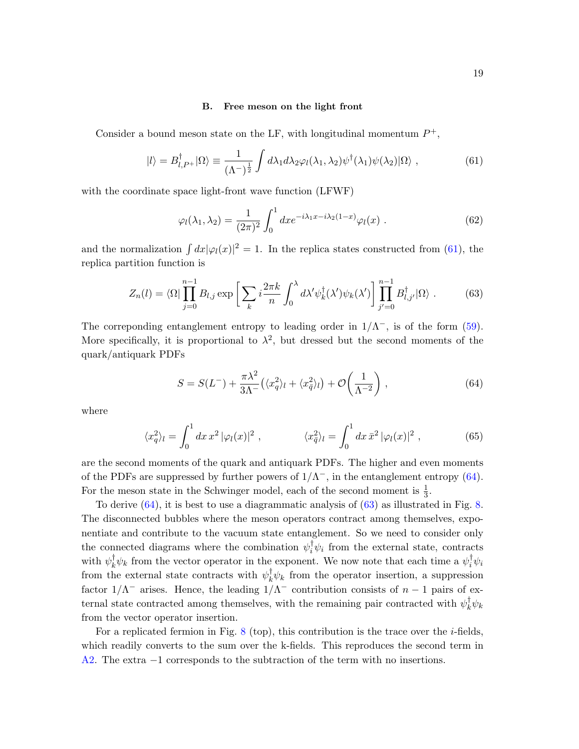#### <span id="page-18-0"></span>B. Free meson on the light front

Consider a bound meson state on the LF, with longitudinal momentum  $P^+$ ,

$$
|l\rangle = B_{l,P^+}^{\dagger}|\Omega\rangle \equiv \frac{1}{(\Lambda^-)^{\frac{1}{2}}} \int d\lambda_1 d\lambda_2 \varphi_l(\lambda_1,\lambda_2) \psi^{\dagger}(\lambda_1) \psi(\lambda_2) |\Omega\rangle , \qquad (61)
$$

with the coordinate space light-front wave function (LFWF)

$$
\varphi_l(\lambda_1, \lambda_2) = \frac{1}{(2\pi)^2} \int_0^1 dx e^{-i\lambda_1 x - i\lambda_2 (1-x)} \varphi_l(x) . \tag{62}
$$

and the normalization  $\int dx |\varphi_l(x)|^2 = 1$ . In the replica states constructed from [\(61\)](#page-18-0), the replica partition function is

<span id="page-18-2"></span>
$$
Z_n(l) = \langle \Omega | \prod_{j=0}^{n-1} B_{l,j} \exp \left[ \sum_k i \frac{2\pi k}{n} \int_0^{\lambda} d\lambda' \psi_k^{\dagger}(\lambda') \psi_k(\lambda') \right] \prod_{j'=0}^{n-1} B_{l,j'}^{\dagger} |\Omega \rangle . \tag{63}
$$

The correponding entanglement entropy to leading order in  $1/\Lambda^{-}$ , is of the form [\(59\)](#page-17-2). More specifically, it is proportional to  $\lambda^2$ , but dressed but the second moments of the quark/antiquark PDFs

<span id="page-18-1"></span>
$$
S = S(L^-) + \frac{\pi \lambda^2}{3\Lambda^-} \left( \langle x_q^2 \rangle_l + \langle x_{\bar{q}}^2 \rangle_l \right) + \mathcal{O}\left(\frac{1}{\Lambda^{-2}}\right) ,\qquad (64)
$$

where

$$
\langle x_q^2 \rangle_l = \int_0^1 dx \, x^2 \, |\varphi_l(x)|^2 \;, \qquad \qquad \langle x_{\bar{q}}^2 \rangle_l = \int_0^1 dx \, \bar{x}^2 \, |\varphi_l(x)|^2 \;, \tag{65}
$$

are the second moments of the quark and antiquark PDFs. The higher and even moments of the PDFs are suppressed by further powers of  $1/\Lambda^{-}$ , in the entanglement entropy [\(64\)](#page-18-1). For the meson state in the Schwinger model, each of the second moment is  $\frac{1}{3}$ .

To derive [\(64\)](#page-18-1), it is best to use a diagrammatic analysis of [\(63\)](#page-18-2) as illustrated in Fig. [8.](#page-19-0) The disconnected bubbles where the meson operators contract among themselves, exponentiate and contribute to the vacuum state entanglement. So we need to consider only the connected diagrams where the combination  $\psi_i^{\dagger} \psi_i$  from the external state, contracts with  $\psi_k^{\dagger} \psi_k$  from the vector operator in the exponent. We now note that each time a  $\psi_i^{\dagger} \psi_i$ from the external state contracts with  $\psi_k^{\dagger} \psi_k$  from the operator insertion, a suppression factor  $1/\Lambda^-$  arises. Hence, the leading  $1/\Lambda^-$  contribution consists of  $n-1$  pairs of external state contracted among themselves, with the remaining pair contracted with  $\psi_k^{\dagger} \psi_k$ from the vector operator insertion.

For a replicated fermion in Fig.  $8$  (top), this contribution is the trace over the *i*-fields, which readily converts to the sum over the k-fields. This reproduces the second term in [A2.](#page-25-1) The extra −1 corresponds to the subtraction of the term with no insertions.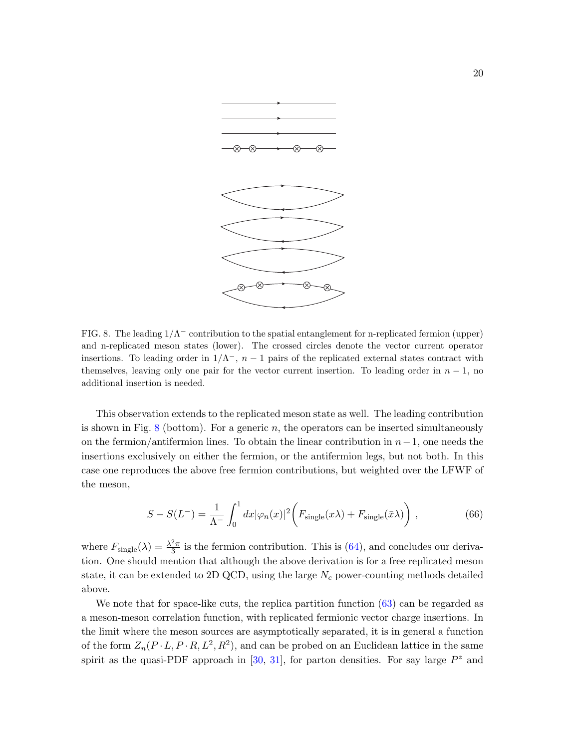

<span id="page-19-0"></span>FIG. 8. The leading  $1/\Lambda^-$  contribution to the spatial entanglement for n-replicated fermion (upper) and n-replicated meson states (lower). The crossed circles denote the vector current operator insertions. To leading order in  $1/\Lambda^-$ ,  $n-1$  pairs of the replicated external states contract with themselves, leaving only one pair for the vector current insertion. To leading order in  $n-1$ , no additional insertion is needed.

This observation extends to the replicated meson state as well. The leading contribution is shown in Fig. [8](#page-19-0) (bottom). For a generic  $n$ , the operators can be inserted simultaneously on the fermion/antifermion lines. To obtain the linear contribution in  $n-1$ , one needs the insertions exclusively on either the fermion, or the antifermion legs, but not both. In this case one reproduces the above free fermion contributions, but weighted over the LFWF of the meson,

$$
S - S(L^{-}) = \frac{1}{\Lambda^{-}} \int_{0}^{1} dx |\varphi_n(x)|^2 \bigg( F_{\text{single}}(x\lambda) + F_{\text{single}}(\bar{x}\lambda) \bigg) , \qquad (66)
$$

where  $F_{\text{single}}(\lambda) = \frac{\lambda^2 \pi}{3}$  $\frac{2\pi}{3}$  is the fermion contribution. This is [\(64\)](#page-18-1), and concludes our derivation. One should mention that although the above derivation is for a free replicated meson state, it can be extended to 2D QCD, using the large  $N_c$  power-counting methods detailed above.

We note that for space-like cuts, the replica partition function  $(63)$  can be regarded as a meson-meson correlation function, with replicated fermionic vector charge insertions. In the limit where the meson sources are asymptotically separated, it is in general a function of the form  $Z_n(P \cdot L, P \cdot R, L^2, R^2)$ , and can be probed on an Euclidean lattice in the same spirit as the quasi-PDF approach in [\[30,](#page-27-10) [31\]](#page-27-11), for parton densities. For say large  $P^z$  and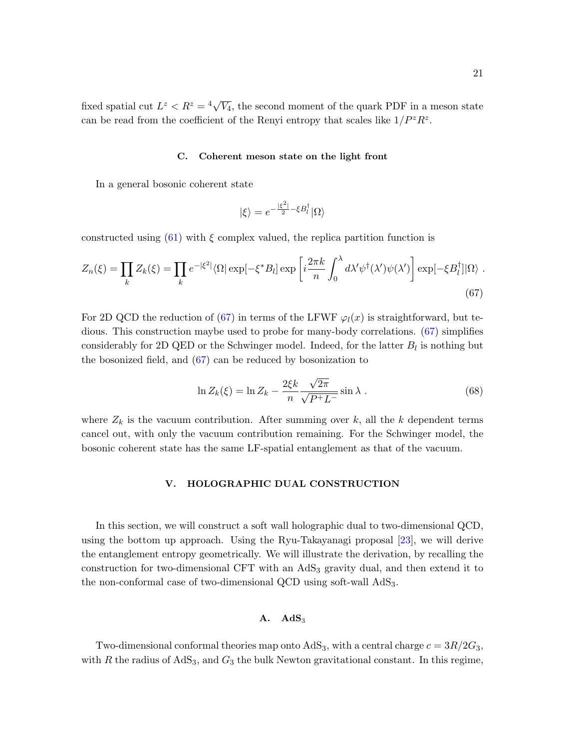### C. Coherent meson state on the light front

In a general bosonic coherent state

<span id="page-20-1"></span>
$$
|\xi\rangle=e^{-\frac{|\xi^2|}{2}-\xi B_l^\dagger}|\Omega\rangle
$$

constructed using [\(61\)](#page-18-0) with  $\xi$  complex valued, the replica partition function is

$$
Z_n(\xi) = \prod_k Z_k(\xi) = \prod_k e^{-|\xi^2|} \langle \Omega | \exp[-\xi^* B_l] \exp\left[i\frac{2\pi k}{n} \int_0^\lambda d\lambda' \psi^\dagger(\lambda') \psi(\lambda')\right] \exp[-\xi B_l^\dagger] |\Omega\rangle \; .
$$
\n(67)

For 2D QCD the reduction of [\(67\)](#page-20-1) in terms of the LFWF  $\varphi_l(x)$  is straightforward, but tedious. This construction maybe used to probe for many-body correlations. [\(67\)](#page-20-1) simplifies considerably for 2D QED or the Schwinger model. Indeed, for the latter  $B_l$  is nothing but the bosonized field, and [\(67\)](#page-20-1) can be reduced by bosonization to

$$
\ln Z_k(\xi) = \ln Z_k - \frac{2\xi k}{n} \frac{\sqrt{2\pi}}{\sqrt{P^+ L^-}} \sin \lambda . \tag{68}
$$

where  $Z_k$  is the vacuum contribution. After summing over k, all the k dependent terms cancel out, with only the vacuum contribution remaining. For the Schwinger model, the bosonic coherent state has the same LF-spatial entanglement as that of the vacuum.

### <span id="page-20-0"></span>V. HOLOGRAPHIC DUAL CONSTRUCTION

In this section, we will construct a soft wall holographic dual to two-dimensional QCD, using the bottom up approach. Using the Ryu-Takayanagi proposal [\[23\]](#page-27-3), we will derive the entanglement entropy geometrically. We will illustrate the derivation, by recalling the construction for two-dimensional CFT with an AdS<sub>3</sub> gravity dual, and then extend it to the non-conformal case of two-dimensional QCD using soft-wall AdS3.

# $A. \quad AdS_3$

Two-dimensional conformal theories map onto  $AdS_3$ , with a central charge  $c = 3R/2G_3$ , with R the radius of  $AdS_3$ , and  $G_3$  the bulk Newton gravitational constant. In this regime,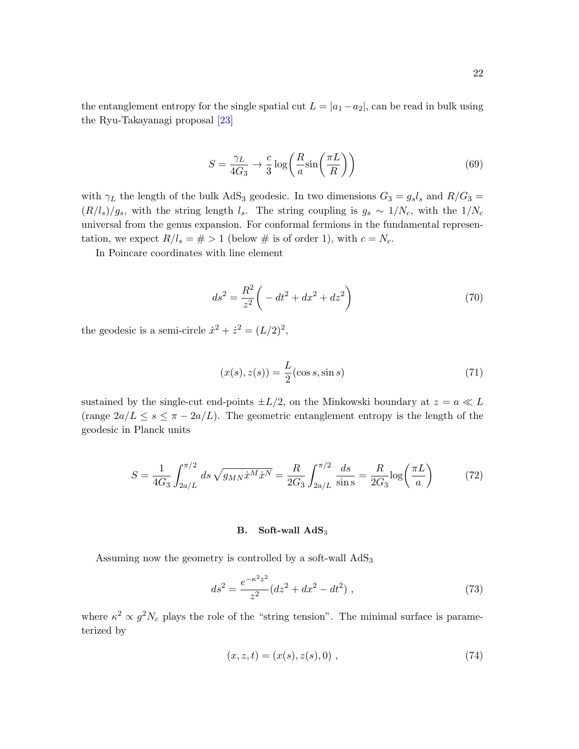the entanglement entropy for the single spatial cut  $L = |a_1 - a_2|$ , can be read in bulk using the Ryu-Takayanagi proposal [\[23\]](#page-27-3)

$$
S = \frac{\gamma_L}{4G_3} \to \frac{c}{3} \log \left( \frac{R}{a} \sin \left( \frac{\pi L}{R} \right) \right) \tag{69}
$$

with  $\gamma_L$  the length of the bulk AdS<sub>3</sub> geodesic. In two dimensions  $G_3 = g_s l_s$  and  $R/G_3 =$  $(R/l_s)/g_s$ , with the string length  $l_s$ . The string coupling is  $g_s \sim 1/N_c$ , with the  $1/N_c$ universal from the genus expansion. For conformal fermions in the fundamental representation, we expect  $R/l_s = # > 1$  (below # is of order 1), with  $c = N_c$ .

In Poincare coordinates with line element

$$
ds^{2} = \frac{R^{2}}{z^{2}} \left( -dt^{2} + dx^{2} + dz^{2} \right)
$$
 (70)

the geodesic is a semi-circle  $\dot{x}^2 + \dot{z}^2 = (L/2)^2$ ,

$$
(x(s), z(s)) = \frac{L}{2}(\cos s, \sin s)
$$
\n<sup>(71)</sup>

sustained by the single-cut end-points  $\pm L/2$ , on the Minkowski boundary at  $z = a \ll L$ (range  $2a/L \leq s \leq \pi - 2a/L$ ). The geometric entanglement entropy is the length of the geodesic in Planck units

<span id="page-21-0"></span>
$$
S = \frac{1}{4G_3} \int_{2a/L}^{\pi/2} ds \sqrt{g_{MN}\dot{x}^M \dot{x}^N} = \frac{R}{2G_3} \int_{2a/L}^{\pi/2} \frac{ds}{\sin s} = \frac{R}{2G_3} \log\left(\frac{\pi L}{a}\right)
$$
(72)

# B. Soft-wall  $AdS_3$

Assuming now the geometry is controlled by a soft-wall  $AdS_3$ 

$$
ds^{2} = \frac{e^{-\kappa^{2}z^{2}}}{z^{2}}(dz^{2} + dx^{2} - dt^{2}),
$$
\n(73)

where  $\kappa^2 \propto g^2 N_c$  plays the role of the "string tension". The minimal surface is parameterized by

$$
(x, z, t) = (x(s), z(s), 0) , \t(74)
$$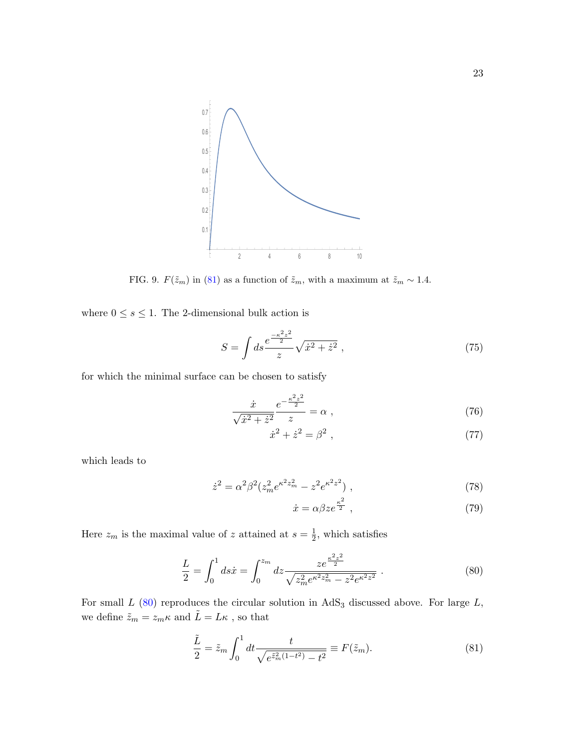

FIG. 9.  $F(\tilde{z}_m)$  in [\(81\)](#page-22-0) as a function of  $\tilde{z}_m$ , with a maximum at  $\tilde{z}_m \sim 1.4$ .

where  $0\leq s\leq 1.$  The 2-dimensional bulk action is

$$
S = \int ds \frac{e^{\frac{-\kappa^2 z^2}{2}}}{z} \sqrt{\dot{x}^2 + \dot{z}^2} , \qquad (75)
$$

for which the minimal surface can be chosen to satisfy

$$
\frac{\dot{x}}{\sqrt{\dot{x}^2 + \dot{z}^2}} \frac{e^{-\frac{\kappa^2 z^2}{2}}}{z} = \alpha \;, \tag{76}
$$

$$
\dot{x}^2 + \dot{z}^2 = \beta^2 \,,\tag{77}
$$

which leads to

$$
\dot{z}^2 = \alpha^2 \beta^2 (z_m^2 e^{\kappa^2 z_m^2} - z^2 e^{\kappa^2 z^2}),\tag{78}
$$

<span id="page-22-1"></span><span id="page-22-0"></span>
$$
\dot{x} = \alpha \beta z e^{\frac{\kappa^2}{2}} \,,\tag{79}
$$

Here  $z_m$  is the maximal value of z attained at  $s=\frac{1}{2}$  $\frac{1}{2}$ , which satisfies

$$
\frac{L}{2} = \int_0^1 ds \dot{x} = \int_0^{z_m} dz \frac{ze^{\frac{\kappa^2 z^2}{2}}}{\sqrt{z_m^2 e^{\kappa^2 z_m^2} - z^2 e^{\kappa^2 z^2}}} \,. \tag{80}
$$

For small  $L$  [\(80\)](#page-22-1) reproduces the circular solution in  $AdS_3$  discussed above. For large  $L$ , we define  $\tilde{z}_m = z_m \kappa$  and  $\tilde{L} = L \kappa$  , so that

$$
\frac{\tilde{L}}{2} = \tilde{z}_m \int_0^1 dt \frac{t}{\sqrt{e^{\tilde{z}_m^2(1-t^2)} - t^2}} \equiv F(\tilde{z}_m). \tag{81}
$$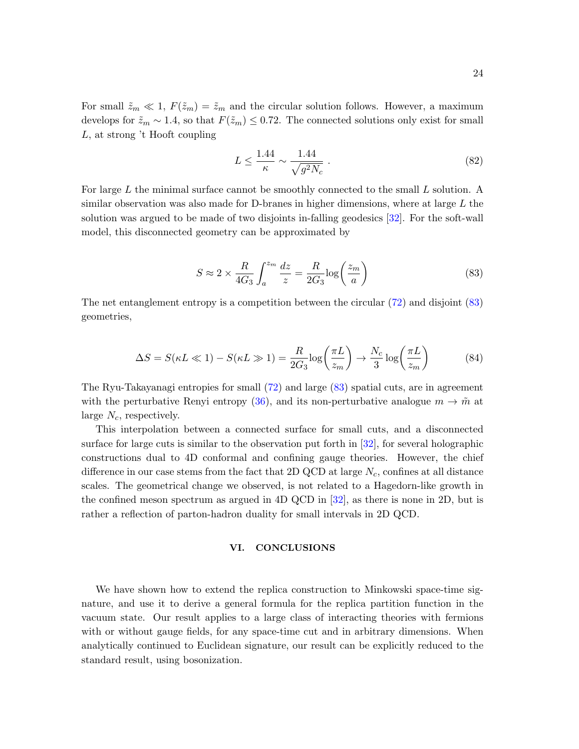For small  $\tilde{z}_m \ll 1$ ,  $F(\tilde{z}_m) = \tilde{z}_m$  and the circular solution follows. However, a maximum develops for  $\tilde{z}_m \sim 1.4$ , so that  $F(\tilde{z}_m) \leq 0.72$ . The connected solutions only exist for small L, at strong 't Hooft coupling

$$
L \le \frac{1.44}{\kappa} \sim \frac{1.44}{\sqrt{g^2 N_c}} \tag{82}
$$

For large L the minimal surface cannot be smoothly connected to the small L solution. A similar observation was also made for D-branes in higher dimensions, where at large L the solution was argued to be made of two disjoints in-falling geodesics [\[32\]](#page-27-12). For the soft-wall model, this disconnected geometry can be approximated by

<span id="page-23-1"></span>
$$
S \approx 2 \times \frac{R}{4G_3} \int_a^{z_m} \frac{dz}{z} = \frac{R}{2G_3} \log\left(\frac{z_m}{a}\right)
$$
 (83)

The net entanglement entropy is a competition between the circular [\(72\)](#page-21-0) and disjoint [\(83\)](#page-23-1) geometries,

$$
\Delta S = S(\kappa L \ll 1) - S(\kappa L \gg 1) = \frac{R}{2G_3} \log \left(\frac{\pi L}{z_m}\right) \to \frac{N_c}{3} \log \left(\frac{\pi L}{z_m}\right) \tag{84}
$$

The Ryu-Takayanagi entropies for small [\(72\)](#page-21-0) and large [\(83\)](#page-23-1) spatial cuts, are in agreement with the perturbative Renyi entropy [\(36\)](#page-10-2), and its non-perturbative analogue  $m \to \tilde{m}$  at large  $N_c$ , respectively.

This interpolation between a connected surface for small cuts, and a disconnected surface for large cuts is similar to the observation put forth in [\[32\]](#page-27-12), for several holographic constructions dual to 4D conformal and confining gauge theories. However, the chief difference in our case stems from the fact that 2D QCD at large  $N_c$ , confines at all distance scales. The geometrical change we observed, is not related to a Hagedorn-like growth in the confined meson spectrum as argued in 4D QCD in [\[32\]](#page-27-12), as there is none in 2D, but is rather a reflection of parton-hadron duality for small intervals in 2D QCD.

### <span id="page-23-0"></span>VI. CONCLUSIONS

We have shown how to extend the replica construction to Minkowski space-time signature, and use it to derive a general formula for the replica partition function in the vacuum state. Our result applies to a large class of interacting theories with fermions with or without gauge fields, for any space-time cut and in arbitrary dimensions. When analytically continued to Euclidean signature, our result can be explicitly reduced to the standard result, using bosonization.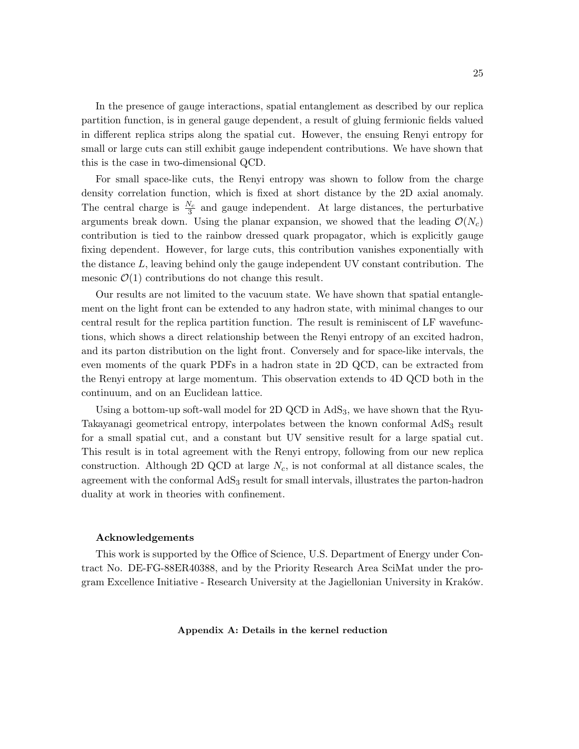In the presence of gauge interactions, spatial entanglement as described by our replica partition function, is in general gauge dependent, a result of gluing fermionic fields valued in different replica strips along the spatial cut. However, the ensuing Renyi entropy for small or large cuts can still exhibit gauge independent contributions. We have shown that this is the case in two-dimensional QCD.

For small space-like cuts, the Renyi entropy was shown to follow from the charge density correlation function, which is fixed at short distance by the 2D axial anomaly. The central charge is  $\frac{N_c}{3}$  and gauge independent. At large distances, the perturbative arguments break down. Using the planar expansion, we showed that the leading  $\mathcal{O}(N_c)$ contribution is tied to the rainbow dressed quark propagator, which is explicitly gauge fixing dependent. However, for large cuts, this contribution vanishes exponentially with the distance L, leaving behind only the gauge independent UV constant contribution. The mesonic  $\mathcal{O}(1)$  contributions do not change this result.

Our results are not limited to the vacuum state. We have shown that spatial entanglement on the light front can be extended to any hadron state, with minimal changes to our central result for the replica partition function. The result is reminiscent of LF wavefunctions, which shows a direct relationship between the Renyi entropy of an excited hadron, and its parton distribution on the light front. Conversely and for space-like intervals, the even moments of the quark PDFs in a hadron state in 2D QCD, can be extracted from the Renyi entropy at large momentum. This observation extends to 4D QCD both in the continuum, and on an Euclidean lattice.

Using a bottom-up soft-wall model for 2D QCD in  $AdS_3$ , we have shown that the Ryu-Takayanagi geometrical entropy, interpolates between the known conformal AdS<sub>3</sub> result for a small spatial cut, and a constant but UV sensitive result for a large spatial cut. This result is in total agreement with the Renyi entropy, following from our new replica construction. Although 2D QCD at large  $N_c$ , is not conformal at all distance scales, the agreement with the conformal  $AdS_3$  result for small intervals, illustrates the parton-hadron duality at work in theories with confinement.

#### Acknowledgements

This work is supported by the Office of Science, U.S. Department of Energy under Contract No. DE-FG-88ER40388, and by the Priority Research Area SciMat under the program Excellence Initiative - Research University at the Jagiellonian University in Kraków.

<span id="page-24-0"></span>Appendix A: Details in the kernel reduction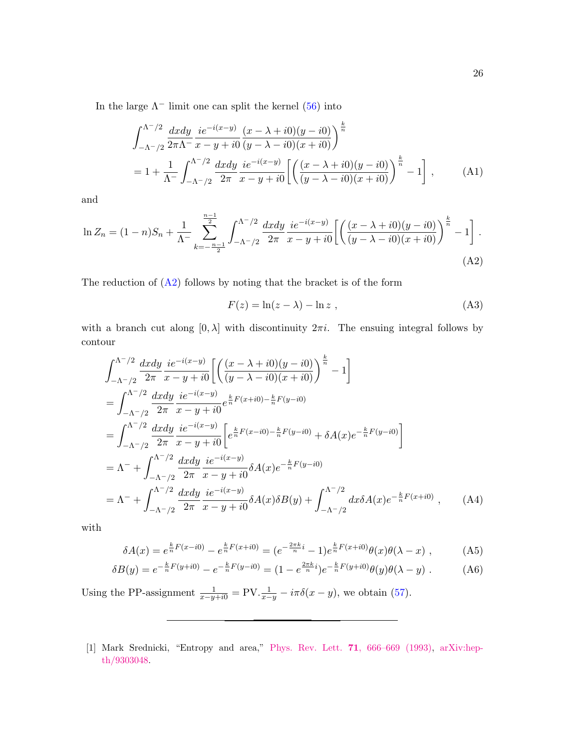In the large  $\Lambda^-$  limit one can split the kernel [\(56\)](#page-17-0) into

$$
\int_{-\Lambda^{-}/2}^{\Lambda^{-}/2} \frac{dxdy}{2\pi\Lambda^{-}} \frac{ie^{-i(x-y)}}{x-y+i0} \frac{(x-\lambda+i0)(y-i0)}{(y-\lambda-i0)(x+i0)} \bigg)^{\frac{k}{n}}
$$
  
=  $1 + \frac{1}{\Lambda^{-}} \int_{-\Lambda^{-}/2}^{\Lambda^{-}/2} \frac{dxdy}{2\pi} \frac{ie^{-i(x-y)}}{x-y+i0} \left[ \left( \frac{(x-\lambda+i0)(y-i0)}{(y-\lambda-i0)(x+i0)} \right)^{\frac{k}{n}} - 1 \right],$  (A1)

and

$$
\ln Z_n = (1-n)S_n + \frac{1}{\Lambda^-} \sum_{k=-\frac{n-1}{2}}^{\frac{n-1}{2}} \int_{-\Lambda^-/2}^{\Lambda^-/2} \frac{dxdy}{2\pi} \frac{ie^{-i(x-y)}}{x-y+i0} \left[ \left( \frac{(x-\lambda+i0)(y-i0)}{(y-\lambda-i0)(x+i0)} \right)^{\frac{k}{n}} - 1 \right].
$$
\n(A2)

The reduction of  $(A2)$  follows by noting that the bracket is of the form

<span id="page-25-1"></span>
$$
F(z) = \ln(z - \lambda) - \ln z \tag{A3}
$$

with a branch cut along  $[0, \lambda]$  with discontinuity  $2\pi i$ . The ensuing integral follows by contour

$$
\int_{-\Lambda^{-}/2}^{\Lambda^{-}/2} \frac{dxdy}{2\pi} \frac{ie^{-i(x-y)}}{x-y+i0} \left[ \left( \frac{(x-\lambda+i0)(y-i0)}{(y-\lambda-i0)(x+i0)} \right)^{\frac{k}{n}} - 1 \right]
$$
  
\n
$$
= \int_{-\Lambda^{-}/2}^{\Lambda^{-}/2} \frac{dxdy}{2\pi} \frac{ie^{-i(x-y)}}{x-y+i0} e^{\frac{k}{n}F(x+i0) - \frac{k}{n}F(y-i0)}
$$
  
\n
$$
= \int_{-\Lambda^{-}/2}^{\Lambda^{-}/2} \frac{dxdy}{2\pi} \frac{ie^{-i(x-y)}}{x-y+i0} \left[ e^{\frac{k}{n}F(x-i0) - \frac{k}{n}F(y-i0)} + \delta A(x) e^{-\frac{k}{n}F(y-i0)} \right]
$$
  
\n
$$
= \Lambda^{-} + \int_{-\Lambda^{-}/2}^{\Lambda^{-}/2} \frac{dxdy}{2\pi} \frac{ie^{-i(x-y)}}{x-y+i0} \delta A(x) e^{-\frac{k}{n}F(y-i0)}
$$
  
\n
$$
= \Lambda^{-} + \int_{-\Lambda^{-}/2}^{\Lambda^{-}/2} \frac{dxdy}{2\pi} \frac{ie^{-i(x-y)}}{x-y+i0} \delta A(x) \delta B(y) + \int_{-\Lambda^{-}/2}^{\Lambda^{-}/2} dx \delta A(x) e^{-\frac{k}{n}F(x+i0)}, \qquad (A4)
$$

with

$$
\delta A(x) = e^{\frac{k}{n}F(x-i0)} - e^{\frac{k}{n}F(x+i0)} = (e^{-\frac{2\pi k}{n}i} - 1)e^{\frac{k}{n}F(x+i0)}\theta(x)\theta(\lambda - x) , \qquad (A5)
$$

$$
\delta B(y) = e^{-\frac{k}{n}F(y+i0)} - e^{-\frac{k}{n}F(y-i0)} = (1 - e^{\frac{2\pi k}{n}i})e^{-\frac{k}{n}F(y+i0)}\theta(y)\theta(\lambda - y) . \tag{A6}
$$

Using the PP-assignment  $\frac{1}{x-y+i0} = \text{PV} \cdot \frac{1}{x-y} - i\pi \delta(x-y)$ , we obtain [\(57\)](#page-17-1).

<span id="page-25-0"></span>[1] Mark Srednicki, "Entropy and area," Phys. Rev. Lett. 71[, 666–669 \(1993\),](http://dx.doi.org/10.1103/PhysRevLett.71.666) [arXiv:hep](http://arxiv.org/abs/hep-th/9303048)[th/9303048.](http://arxiv.org/abs/hep-th/9303048)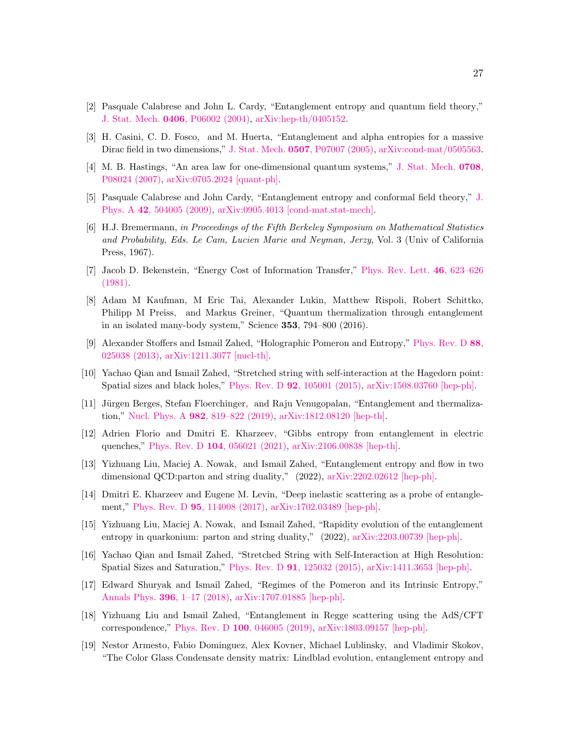- <span id="page-26-10"></span>[2] Pasquale Calabrese and John L. Cardy, "Entanglement entropy and quantum field theory," J. Stat. Mech. 0406[, P06002 \(2004\),](http://dx.doi.org/ 10.1088/1742-5468/2004/06/P06002) [arXiv:hep-th/0405152.](http://arxiv.org/abs/hep-th/0405152)
- <span id="page-26-9"></span>[3] H. Casini, C. D. Fosco, and M. Huerta, "Entanglement and alpha entropies for a massive Dirac field in two dimensions," J. Stat. Mech. 0507[, P07007 \(2005\),](http://dx.doi.org/ 10.1088/1742-5468/2005/07/P07007) [arXiv:cond-mat/0505563.](http://arxiv.org/abs/cond-mat/0505563)
- [4] M. B. Hastings, "An area law for one-dimensional quantum systems," [J. Stat. Mech.](http://dx.doi.org/ 10.1088/1742-5468/2007/08/P08024) 0708, [P08024 \(2007\),](http://dx.doi.org/ 10.1088/1742-5468/2007/08/P08024) [arXiv:0705.2024 \[quant-ph\].](http://arxiv.org/abs/0705.2024)
- <span id="page-26-0"></span>[5] Pasquale Calabrese and John Cardy, "Entanglement entropy and conformal field theory," [J.](http://dx.doi.org/ 10.1088/1751-8113/42/50/504005) Phys. A 42[, 504005 \(2009\),](http://dx.doi.org/ 10.1088/1751-8113/42/50/504005) [arXiv:0905.4013 \[cond-mat.stat-mech\].](http://arxiv.org/abs/0905.4013)
- <span id="page-26-1"></span>[6] H.J. Bremermann, in Proceedings of the Fifth Berkeley Symposium on Mathematical Statistics and Probability, Eds. Le Cam, Lucien Marie and Neyman, Jerzy, Vol. 3 (Univ of California Press, 1967).
- <span id="page-26-2"></span>[7] Jacob D. Bekenstein, "Energy Cost of Information Transfer," [Phys. Rev. Lett.](http://dx.doi.org/ 10.1103/PhysRevLett.46.623) 46, 623–626 [\(1981\).](http://dx.doi.org/ 10.1103/PhysRevLett.46.623)
- <span id="page-26-3"></span>[8] Adam M Kaufman, M Eric Tai, Alexander Lukin, Matthew Rispoli, Robert Schittko, Philipp M Preiss, and Markus Greiner, "Quantum thermalization through entanglement in an isolated many-body system," Science 353, 794–800 (2016).
- <span id="page-26-4"></span>[9] Alexander Stoffers and Ismail Zahed, "Holographic Pomeron and Entropy," [Phys. Rev. D](http://dx.doi.org/ 10.1103/PhysRevD.88.025038) 88, [025038 \(2013\),](http://dx.doi.org/ 10.1103/PhysRevD.88.025038) [arXiv:1211.3077 \[nucl-th\].](http://arxiv.org/abs/1211.3077)
- [10] Yachao Qian and Ismail Zahed, "Stretched string with self-interaction at the Hagedorn point: Spatial sizes and black holes," Phys. Rev. D 92[, 105001 \(2015\),](http://dx.doi.org/10.1103/PhysRevD.92.105001) [arXiv:1508.03760 \[hep-ph\].](http://arxiv.org/abs/1508.03760)
- [11] Jürgen Berges, Stefan Floerchinger, and Raju Venugopalan, "Entanglement and thermalization," Nucl. Phys. A 982[, 819–822 \(2019\),](http://dx.doi.org/ 10.1016/j.nuclphysa.2018.12.008) [arXiv:1812.08120 \[hep-th\].](http://arxiv.org/abs/1812.08120)
- [12] Adrien Florio and Dmitri E. Kharzeev, "Gibbs entropy from entanglement in electric quenches," Phys. Rev. D 104[, 056021 \(2021\),](http://dx.doi.org/ 10.1103/PhysRevD.104.056021) [arXiv:2106.00838 \[hep-th\].](http://arxiv.org/abs/2106.00838)
- <span id="page-26-5"></span>[13] Yizhuang Liu, Maciej A. Nowak, and Ismail Zahed, "Entanglement entropy and flow in two dimensional QCD:parton and string duality," (2022), [arXiv:2202.02612 \[hep-ph\].](http://arxiv.org/abs/2202.02612)
- <span id="page-26-7"></span>[14] Dmitri E. Kharzeev and Eugene M. Levin, "Deep inelastic scattering as a probe of entanglement," Phys. Rev. D 95[, 114008 \(2017\),](http://dx.doi.org/ 10.1103/PhysRevD.95.114008) [arXiv:1702.03489 \[hep-ph\].](http://arxiv.org/abs/1702.03489)
- <span id="page-26-6"></span>[15] Yizhuang Liu, Maciej A. Nowak, and Ismail Zahed, "Rapidity evolution of the entanglement entropy in quarkonium: parton and string duality," (2022), [arXiv:2203.00739 \[hep-ph\].](http://arxiv.org/abs/2203.00739)
- <span id="page-26-8"></span>[16] Yachao Qian and Ismail Zahed, "Stretched String with Self-Interaction at High Resolution: Spatial Sizes and Saturation," Phys. Rev. D 91[, 125032 \(2015\),](http://dx.doi.org/10.1103/PhysRevD.91.125032) [arXiv:1411.3653 \[hep-ph\].](http://arxiv.org/abs/1411.3653)
- [17] Edward Shuryak and Ismail Zahed, "Regimes of the Pomeron and its Intrinsic Entropy," Annals Phys. 396[, 1–17 \(2018\),](http://dx.doi.org/ 10.1016/j.aop.2018.06.008) [arXiv:1707.01885 \[hep-ph\].](http://arxiv.org/abs/1707.01885)
- [18] Yizhuang Liu and Ismail Zahed, "Entanglement in Regge scattering using the AdS/CFT correspondence," Phys. Rev. D 100[, 046005 \(2019\),](http://dx.doi.org/10.1103/PhysRevD.100.046005) [arXiv:1803.09157 \[hep-ph\].](http://arxiv.org/abs/1803.09157)
- [19] Nestor Armesto, Fabio Dominguez, Alex Kovner, Michael Lublinsky, and Vladimir Skokov, "The Color Glass Condensate density matrix: Lindblad evolution, entanglement entropy and